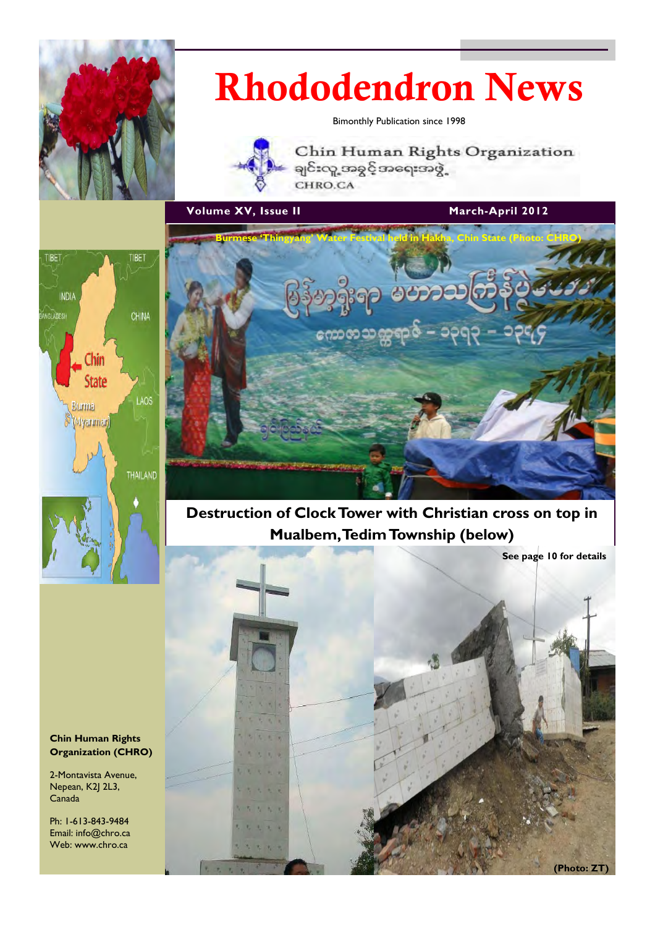

# Rhododendron News

Bimonthly Publication since 1998



Chin Human Rights Organization ချင်းလူ့အခွင့်အရေးအဖွဲ့ CHRO.CA

Volume XV, Issue II March-April 2012





Destruction of Clock Tower with Christian cross on top in Mualbem, Tedim Township (below)



Chin Human Rights Organization (CHRO)

2-Montavista Avenue, Nepean, K2J 2L3, Canada

Ph: 1-613-843-9484 Email: info@chro.ca Web: www.chro.ca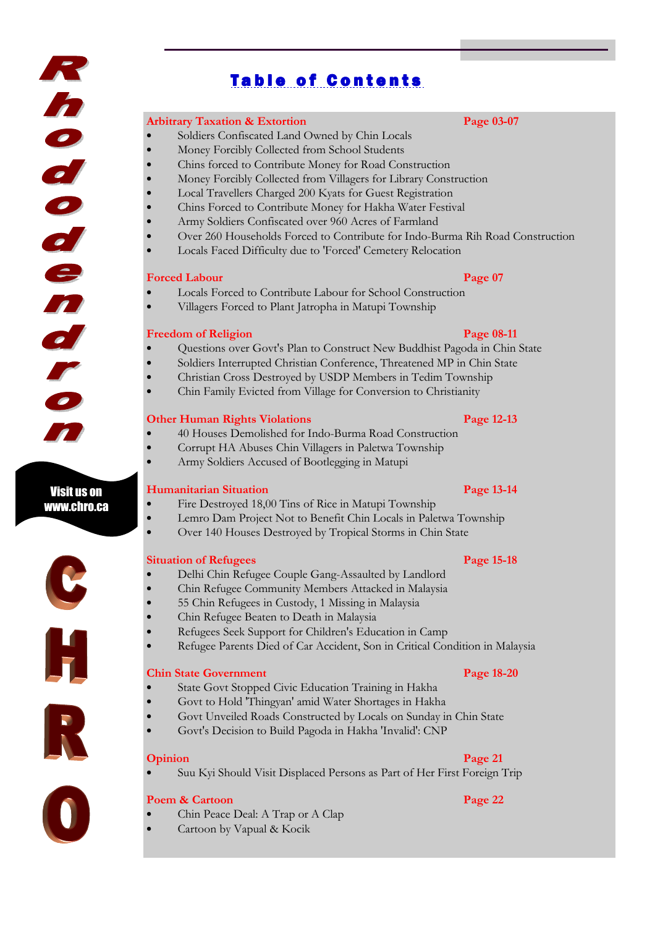# **Table of Contents**

#### Arbitrary Taxation & Extortion **Page 03-07**

- Soldiers Confiscated Land Owned by Chin Locals
- Money Forcibly Collected from School Students
- Chins forced to Contribute Money for Road Construction
- Money Forcibly Collected from Villagers for Library Construction
- Local Travellers Charged 200 Kyats for Guest Registration
- Chins Forced to Contribute Money for Hakha Water Festival
- Army Soldiers Confiscated over 960 Acres of Farmland
- Over 260 Households Forced to Contribute for Indo-Burma Rih Road Construction
- Locals Faced Difficulty due to 'Forced' Cemetery Relocation

#### **Forced Labour Page 07**

- Locals Forced to Contribute Labour for School Construction
- Villagers Forced to Plant Jatropha in Matupi Township

#### Freedom of Religion **Page 08-11**

- Questions over Govt's Plan to Construct New Buddhist Pagoda in Chin State
- Soldiers Interrupted Christian Conference, Threatened MP in Chin State
- Christian Cross Destroyed by USDP Members in Tedim Township
- Chin Family Evicted from Village for Conversion to Christianity

#### Other Human Rights Violations Page 12-13

- 40 Houses Demolished for Indo-Burma Road Construction
- Corrupt HA Abuses Chin Villagers in Paletwa Township
- Army Soldiers Accused of Bootlegging in Matupi

#### Humanitarian Situation Page 13-14

- Fire Destroyed 18,00 Tins of Rice in Matupi Township
- Lemro Dam Project Not to Benefit Chin Locals in Paletwa Township
- Over 140 Houses Destroyed by Tropical Storms in Chin State

#### Situation of Refugees **Page 15-18**

- Delhi Chin Refugee Couple Gang-Assaulted by Landlord
- Chin Refugee Community Members Attacked in Malaysia
- 55 Chin Refugees in Custody, 1 Missing in Malaysia
- Chin Refugee Beaten to Death in Malaysia
- Refugees Seek Support for Children's Education in Camp
- Refugee Parents Died of Car Accident, Son in Critical Condition in Malaysia

#### **Chin State Government** Page 18-20

- State Govt Stopped Civic Education Training in Hakha
- Govt to Hold 'Thingyan' amid Water Shortages in Hakha
- Govt Unveiled Roads Constructed by Locals on Sunday in Chin State
- Govt's Decision to Build Pagoda in Hakha 'Invalid': CNP

#### Opinion Page 21

• Suu Kyi Should Visit Displaced Persons as Part of Her First Foreign Trip

#### Poem & Cartoon **Page 22**

- Chin Peace Deal: A Trap or A Clap
- Cartoon by Vapual & Kocik



Visit us on www.chro.ca

K

inododen

al r





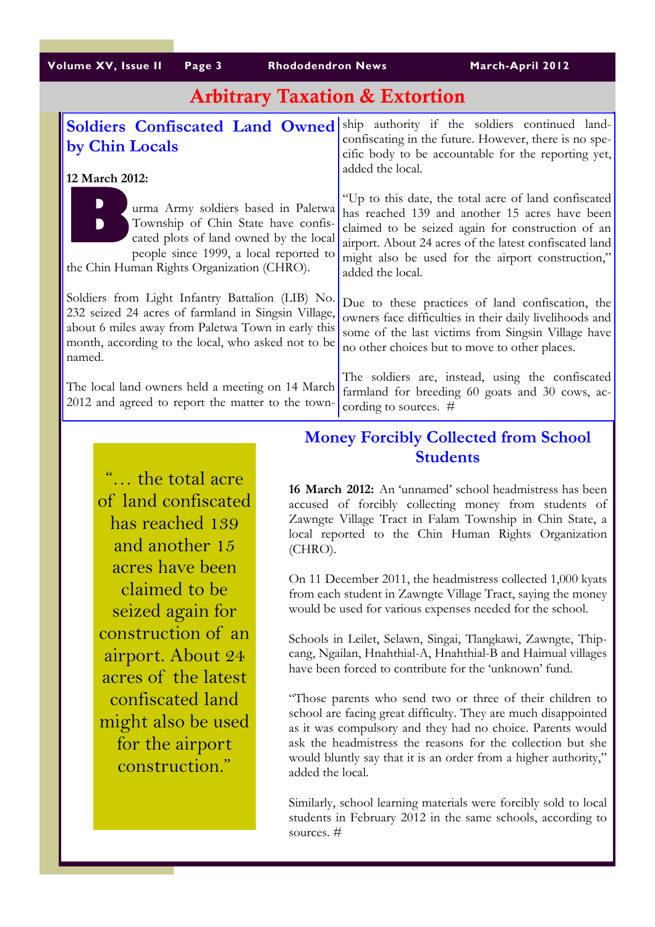# Arbitrary Taxation & Extortion

| <b>Soldiers Confiscated Land Owned</b>                                                                                                                                                                                        | ship authority if the soldiers continued land-                                                                                                                                                                                                                                                 |
|-------------------------------------------------------------------------------------------------------------------------------------------------------------------------------------------------------------------------------|------------------------------------------------------------------------------------------------------------------------------------------------------------------------------------------------------------------------------------------------------------------------------------------------|
| by Chin Locals                                                                                                                                                                                                                | confiscating in the future. However, there is no spe-<br>cific body to be accountable for the reporting yet,                                                                                                                                                                                   |
| 12 March 2012:                                                                                                                                                                                                                | added the local.                                                                                                                                                                                                                                                                               |
| urma Army soldiers based in Paletwa<br>Township of Chin State have confis-<br>cated plots of land owned by the local<br>people since 1999, a local reported to<br>the Chin Human Rights Organization (CHRO).                  | "Up to this date, the total acre of land confiscated<br>has reached 139 and another 15 acres have been<br>claimed to be seized again for construction of an<br>airport. About 24 acres of the latest confiscated land<br>might also be used for the airport construction,"<br>added the local. |
| Soldiers from Light Infantry Battalion (LIB) No.<br>232 seized 24 acres of farmland in Singsin Village,<br>about 6 miles away from Paletwa Town in early this<br>month, according to the local, who asked not to be<br>named. | Due to these practices of land confiscation, the<br>owners face difficulties in their daily livelihoods and<br>some of the last victims from Singsin Village have<br>no other choices but to move to other places.                                                                             |
| The local land owners held a meeting on 14 March<br>2012 and agreed to report the matter to the town-                                                                                                                         | The soldiers are, instead, using the confiscated<br>farmland for breeding 60 goats and 30 cows, ac-<br>cording to sources. $#$                                                                                                                                                                 |

# Money Forcibly Collected from School Students

16 March 2012: An 'unnamed' school headmistress has been accused of forcibly collecting money from students of Zawngte Village Tract in Falam Township in Chin State, a local reported to the Chin Human Rights Organization (CHRO). On 11 December 2011, the headmistress collected 1,000 kyats from each student in Zawngte Village Tract, saying the money

would be used for various expenses needed for the school. Schools in Leilet, Selawn, Singai, Tlangkawi, Zawngte, Thip-

cang, Ngailan, Hnahthial-A, Hnahthial-B and Haimual villages have been forced to contribute for the 'unknown' fund.

"Those parents who send two or three of their children to school are facing great difficulty. They are much disappointed as it was compulsory and they had no choice. Parents would ask the headmistress the reasons for the collection but she would bluntly say that it is an order from a higher authority," added the local.

Similarly, school learning materials were forcibly sold to local students in February 2012 in the same schools, according to sources. #

"… the total acre of land confiscated has reached 139 and another 15 acres have been claimed to be seized again for construction of an airport. About 24 acres of the latest confiscated land might also be used for the airport construction."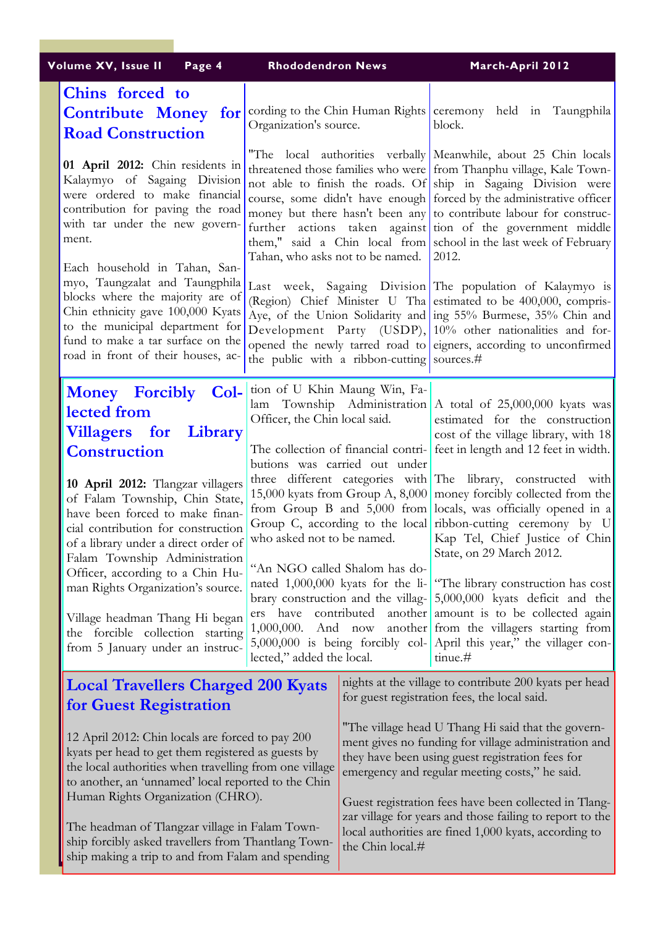|  | Volume XV, Issue II<br>Page 4                                                                                                                                                                                                                                                                                                                                                                                              | <b>Rhododendron News</b>                                                                                                                                                                                                                                                                                                                                                                                                                                                                   |                                                                                                                                                                                                                  | March-April 2012                                                                                                                                                                                                                                                                                                                    |
|--|----------------------------------------------------------------------------------------------------------------------------------------------------------------------------------------------------------------------------------------------------------------------------------------------------------------------------------------------------------------------------------------------------------------------------|--------------------------------------------------------------------------------------------------------------------------------------------------------------------------------------------------------------------------------------------------------------------------------------------------------------------------------------------------------------------------------------------------------------------------------------------------------------------------------------------|------------------------------------------------------------------------------------------------------------------------------------------------------------------------------------------------------------------|-------------------------------------------------------------------------------------------------------------------------------------------------------------------------------------------------------------------------------------------------------------------------------------------------------------------------------------|
|  | Chins forced to<br><b>Contribute Money for</b><br><b>Road Construction</b>                                                                                                                                                                                                                                                                                                                                                 | Organization's source.                                                                                                                                                                                                                                                                                                                                                                                                                                                                     |                                                                                                                                                                                                                  | cording to the Chin Human Rights ceremony held in Taungphila<br>block.                                                                                                                                                                                                                                                              |
|  | 01 April 2012: Chin residents in<br>Kalaymyo of Sagaing Division<br>were ordered to make financial<br>contribution for paving the road<br>with tar under the new govern-<br>ment.                                                                                                                                                                                                                                          | "The local authorities verbally Meanwhile, about 25 Chin locals<br>threatened those families who were from Thanphu village, Kale Town-<br>not able to finish the roads. Of ship in Sagaing Division were<br>course, some didn't have enough forced by the administrative officer<br>money but there hasn't been any to contribute labour for construc-<br>further actions taken against tion of the government middle<br>them," said a Chin local from school in the last week of February |                                                                                                                                                                                                                  |                                                                                                                                                                                                                                                                                                                                     |
|  | Each household in Tahan, San-<br>myo, Taungzalat and Taungphila<br>blocks where the majority are of<br>Chin ethnicity gave 100,000 Kyats<br>to the municipal department for<br>fund to make a tar surface on the<br>road in front of their houses, ac-                                                                                                                                                                     | Tahan, who asks not to be named. $\vert$ 2012.<br>Last week, Sagaing Division The population of Kalaymyo is<br>(Region) Chief Minister U Tha estimated to be 400,000, compris-<br>Aye, of the Union Solidarity and ing 55% Burmese, 35% Chin and<br>Development Party (USDP), 10% other nationalities and for-<br>opened the newly tarred road to eigners, according to unconfirmed<br>the public with a ribbon-cutting sources.#                                                          |                                                                                                                                                                                                                  |                                                                                                                                                                                                                                                                                                                                     |
|  | Money Forcibly Col-<br>lected from<br><b>Villagers</b> for Library<br><b>Construction</b>                                                                                                                                                                                                                                                                                                                                  | tion of U Khin Maung Win, Fa-<br>Officer, the Chin local said.<br>butions was carried out under<br>who asked not to be named.<br>"An NGO called Shalom has do-<br>nated 1,000,000 kyats for the li-<br>brary construction and the villag-<br>ers have contributed<br>another<br>1,000,000. And now<br>$5,000,000$ is being forcibly col-<br>lected," added the local.                                                                                                                      |                                                                                                                                                                                                                  | lam Township Administration A total of 25,000,000 kyats was<br>estimated for the construction<br>cost of the village library, with 18<br>The collection of financial contri- feet in length and 12 feet in width.                                                                                                                   |
|  | 10 April 2012: Tlangzar villagers<br>of Falam Township, Chin State,<br>have been forced to make finan-<br>cial contribution for construction<br>of a library under a direct order of<br>Falam Township Administration                                                                                                                                                                                                      |                                                                                                                                                                                                                                                                                                                                                                                                                                                                                            |                                                                                                                                                                                                                  | three different categories with The library, constructed with<br>15,000 kyats from Group A, 8,000 money forcibly collected from the<br>from Group B and 5,000 from locals, was officially opened in a<br>Group C, according to the local ribbon-cutting ceremony by U<br>Kap Tel, Chief Justice of Chin<br>State, on 29 March 2012. |
|  | Officer, according to a Chin Hu-<br>man Rights Organization's source.<br>Village headman Thang Hi began<br>the forcible collection starting<br>from 5 January under an instruc-                                                                                                                                                                                                                                            |                                                                                                                                                                                                                                                                                                                                                                                                                                                                                            |                                                                                                                                                                                                                  | "The library construction has cost<br>5,000,000 kyats deficit and the<br>amount is to be collected again<br>another from the villagers starting from<br>April this year," the villager con-<br>tinue.#                                                                                                                              |
|  | <b>Local Travellers Charged 200 Kyats</b><br>for Guest Registration                                                                                                                                                                                                                                                                                                                                                        |                                                                                                                                                                                                                                                                                                                                                                                                                                                                                            |                                                                                                                                                                                                                  | nights at the village to contribute 200 kyats per head<br>for guest registration fees, the local said.                                                                                                                                                                                                                              |
|  | 12 April 2012: Chin locals are forced to pay 200<br>kyats per head to get them registered as guests by<br>the local authorities when travelling from one village<br>to another, an 'unnamed' local reported to the Chin<br>Human Rights Organization (CHRO).<br>The headman of Tlangzar village in Falam Town-<br>ship forcibly asked travellers from Thantlang Town-<br>ship making a trip to and from Falam and spending |                                                                                                                                                                                                                                                                                                                                                                                                                                                                                            | "The village head U Thang Hi said that the govern-<br>ment gives no funding for village administration and<br>they have been using guest registration fees for<br>emergency and regular meeting costs," he said. |                                                                                                                                                                                                                                                                                                                                     |
|  |                                                                                                                                                                                                                                                                                                                                                                                                                            |                                                                                                                                                                                                                                                                                                                                                                                                                                                                                            | Guest registration fees have been collected in Tlang-<br>zar village for years and those failing to report to the<br>local authorities are fined 1,000 kyats, according to<br>the Chin local.#                   |                                                                                                                                                                                                                                                                                                                                     |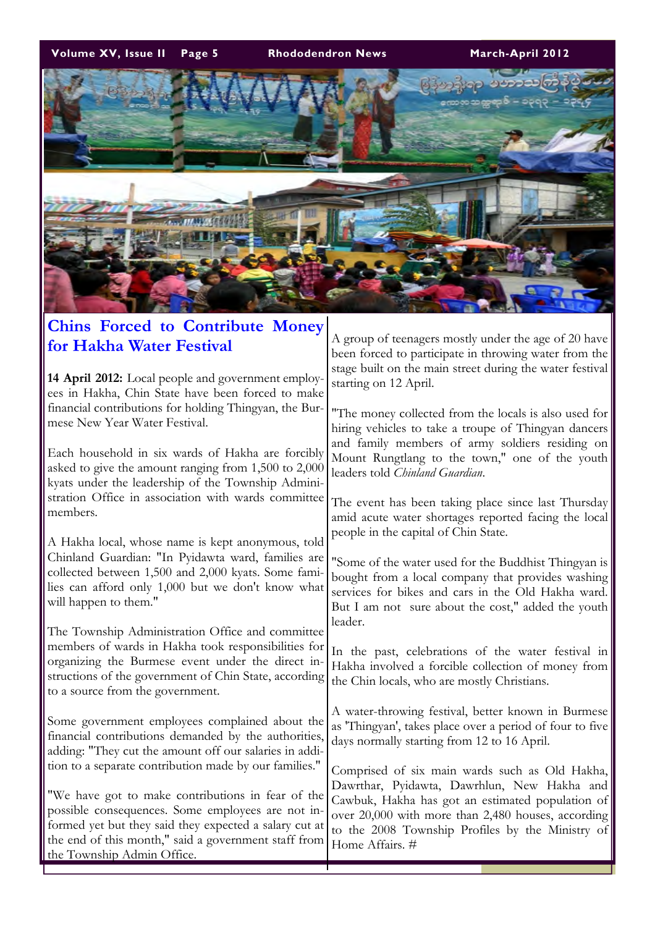Volume XV, Issue II Page 5 Rhododendron News March-April 2012



### Chins Forced to Contribute Money for Hakha Water Festival

14 April 2012: Local people and government employees in Hakha, Chin State have been forced to make financial contributions for holding Thingyan, the Burmese New Year Water Festival.

Each household in six wards of Hakha are forcibly asked to give the amount ranging from 1,500 to 2,000 kyats under the leadership of the Township Administration Office in association with wards committee members.

A Hakha local, whose name is kept anonymous, told Chinland Guardian: "In Pyidawta ward, families are collected between 1,500 and 2,000 kyats. Some families can afford only 1,000 but we don't know what will happen to them."

The Township Administration Office and committee members of wards in Hakha took responsibilities for organizing the Burmese event under the direct instructions of the government of Chin State, according to a source from the government.

Some government employees complained about the financial contributions demanded by the authorities, adding: "They cut the amount off our salaries in addition to a separate contribution made by our families."

"We have got to make contributions in fear of the possible consequences. Some employees are not informed yet but they said they expected a salary cut at the end of this month," said a government staff from the Township Admin Office.

A group of teenagers mostly under the age of 20 have been forced to participate in throwing water from the stage built on the main street during the water festival starting on 12 April.

"The money collected from the locals is also used for hiring vehicles to take a troupe of Thingyan dancers and family members of army soldiers residing on Mount Rungtlang to the town," one of the youth leaders told Chinland Guardian.

The event has been taking place since last Thursday amid acute water shortages reported facing the local people in the capital of Chin State.

"Some of the water used for the Buddhist Thingyan is bought from a local company that provides washing services for bikes and cars in the Old Hakha ward. But I am not sure about the cost," added the youth leader.

In the past, celebrations of the water festival in Hakha involved a forcible collection of money from the Chin locals, who are mostly Christians.

A water-throwing festival, better known in Burmese as 'Thingyan', takes place over a period of four to five days normally starting from 12 to 16 April.

Comprised of six main wards such as Old Hakha, Dawrthar, Pyidawta, Dawrhlun, New Hakha and Cawbuk, Hakha has got an estimated population of over 20,000 with more than 2,480 houses, according to the 2008 Township Profiles by the Ministry of Home Affairs. #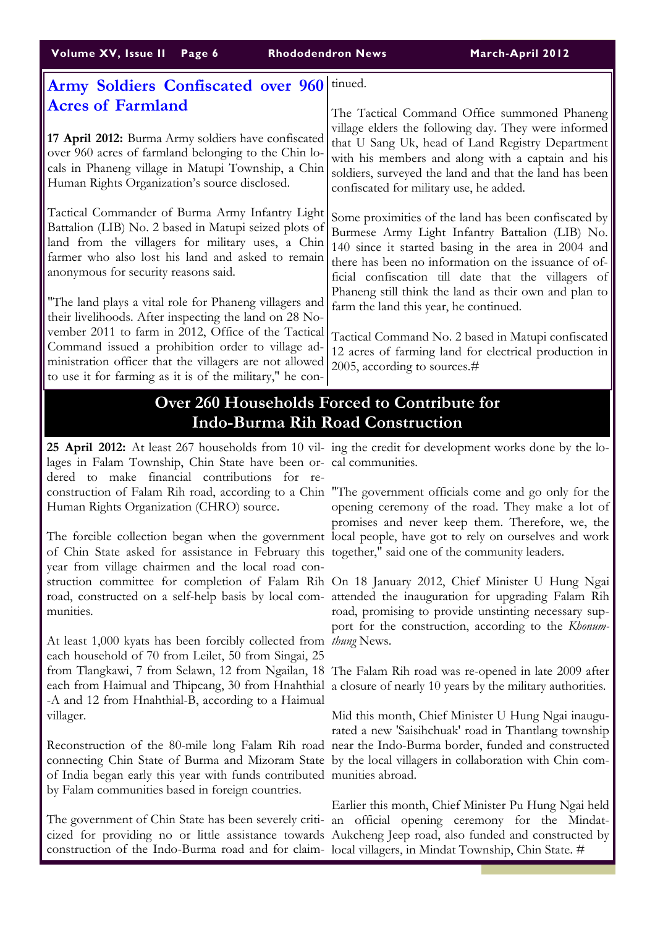| <b>Army Soldiers Confiscated over 960</b>                                                                                                                                                                                                                                                                                                           | tinued.                                                                                                                                                                                                                                                                                                            |
|-----------------------------------------------------------------------------------------------------------------------------------------------------------------------------------------------------------------------------------------------------------------------------------------------------------------------------------------------------|--------------------------------------------------------------------------------------------------------------------------------------------------------------------------------------------------------------------------------------------------------------------------------------------------------------------|
| <b>Acres of Farmland</b><br>17 April 2012: Burma Army soldiers have confiscated<br>over 960 acres of farmland belonging to the Chin lo-<br>cals in Phaneng village in Matupi Township, a Chin<br>Human Rights Organization's source disclosed.                                                                                                      | The Tactical Command Office summoned Phaneng<br>village elders the following day. They were informed<br>that U Sang Uk, head of Land Registry Department<br>with his members and along with a captain and his<br>soldiers, surveyed the land and that the land has been<br>confiscated for military use, he added. |
| Tactical Commander of Burma Army Infantry Light<br>Battalion (LIB) No. 2 based in Matupi seized plots of<br>land from the villagers for military uses, a Chin<br>farmer who also lost his land and asked to remain<br>anonymous for security reasons said.                                                                                          | Some proximities of the land has been confiscated by<br>Burmese Army Light Infantry Battalion (LIB) No.<br>140 since it started basing in the area in 2004 and<br>there has been no information on the issuance of of-<br>ficial confiscation till date that the villagers of                                      |
| "The land plays a vital role for Phaneng villagers and<br>their livelihoods. After inspecting the land on 28 No-<br>vember 2011 to farm in 2012, Office of the Tactical<br>Command issued a prohibition order to village ad-<br>ministration officer that the villagers are not allowed<br>to use it for farming as it is of the military," he con- | Phaneng still think the land as their own and plan to<br>farm the land this year, he continued.<br>Tactical Command No. 2 based in Matupi confiscated<br>12 acres of farming land for electrical production in<br>2005, according to sources. $#$                                                                  |
| SL SKR R.                                                                                                                                                                                                                                                                                                                                           | .                                                                                                                                                                                                                                                                                                                  |

### 260 Households Forced to Indo-Burma Rih Road Construction

lages in Falam Township, Chin State have been or-cal communities. dered to make financial contributions for re-Human Rights Organization (CHRO) source.

The forcible collection began when the government local people, have got to rely on ourselves and work of Chin State asked for assistance in February this together," said one of the community leaders. year from village chairmen and the local road construction committee for completion of Falam Rih On 18 January 2012, Chief Minister U Hung Ngai road, constructed on a self-help basis by local com-attended the inauguration for upgrading Falam Rih munities.

At least 1,000 kyats has been forcibly collected from thung News. each household of 70 from Leilet, 50 from Singai, 25 from Tlangkawi, 7 from Selawn, 12 from Ngailan, 18 The Falam Rih road was re-opened in late 2009 after each from Haimual and Thipcang, 30 from Hnahthial a closure of nearly 10 years by the military authorities. -A and 12 from Hnahthial-B, according to a Haimual villager.

connecting Chin State of Burma and Mizoram State by the local villagers in collaboration with Chin comof India began early this year with funds contributed munities abroad. by Falam communities based in foreign countries.

construction of the Indo-Burma road and for claim-local villagers, in Mindat Township, Chin State. #

25 April 2012: At least 267 households from 10 vil- ing the credit for development works done by the lo-

construction of Falam Rih road, according to a Chin "The government officials come and go only for the opening ceremony of the road. They make a lot of promises and never keep them. Therefore, we, the

> road, promising to provide unstinting necessary support for the construction, according to the Khonum-

Reconstruction of the 80-mile long Falam Rih road near the Indo-Burma border, funded and constructed Mid this month, Chief Minister U Hung Ngai inaugurated a new 'Saisihchuak' road in Thantlang township

The government of Chin State has been severely criti-an official opening ceremony for the Mindatcized for providing no or little assistance towards Aukcheng Jeep road, also funded and constructed by Earlier this month, Chief Minister Pu Hung Ngai held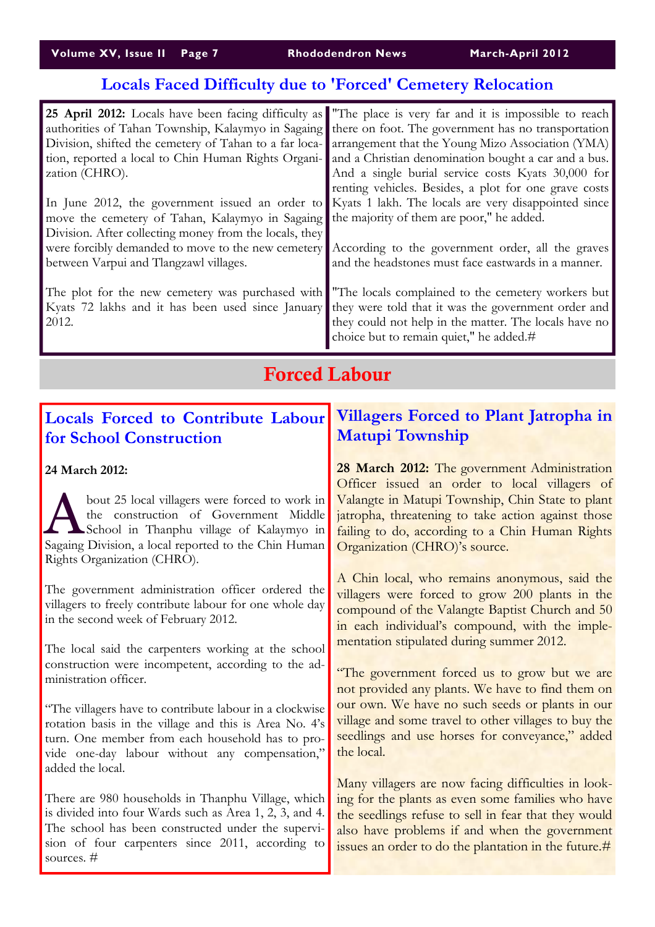# Locals Faced Difficulty due to 'Forced' Cemetery Relocation

| zation (CHRO).                                                                                                                                                                                | 25 April 2012: Locals have been facing difficulty as "The place is very far and it is impossible to reach<br>authorities of Tahan Township, Kalaymyo in Sagaing there on foot. The government has no transportation<br>Division, shifted the cemetery of Tahan to a far loca-earrangement that the Young Mizo Association (YMA)<br>tion, reported a local to Chin Human Rights Organi- and a Christian denomination bought a car and a bus.<br>And a single burial service costs Kyats 30,000 for<br>renting vehicles. Besides, a plot for one grave costs |
|-----------------------------------------------------------------------------------------------------------------------------------------------------------------------------------------------|------------------------------------------------------------------------------------------------------------------------------------------------------------------------------------------------------------------------------------------------------------------------------------------------------------------------------------------------------------------------------------------------------------------------------------------------------------------------------------------------------------------------------------------------------------|
| move the cemetery of Tahan, Kalaymyo in Sagaing the majority of them are poor," he added.<br>Division. After collecting money from the locals, they<br>between Varpui and Tlangzawl villages. | In June 2012, the government issued an order to Kyats 1 lakh. The locals are very disappointed since<br>were forcibly demanded to move to the new cemetery According to the government order, all the graves<br>and the headstones must face eastwards in a manner.                                                                                                                                                                                                                                                                                        |
| 2012.                                                                                                                                                                                         | The plot for the new cemetery was purchased with "The locals complained to the cemetery workers but<br>Kyats 72 lakhs and it has been used since January they were told that it was the government order and<br>they could not help in the matter. The locals have no<br>choice but to remain quiet," he added.#                                                                                                                                                                                                                                           |

## Forced Labour

### Locals Forced to Contribute Labour for School Construction

24 March 2012:

bout 25 local villagers were forced to work in<br>the construction of Government Middle<br>School in Thanphu village of Kalaymyo in the construction of Government Middle School in Thanphu village of Kalaymyo in Sagaing Division, a local reported to the Chin Human Rights Organization (CHRO).

The government administration officer ordered the villagers to freely contribute labour for one whole day in the second week of February 2012.

The local said the carpenters working at the school construction were incompetent, according to the administration officer.

"The villagers have to contribute labour in a clockwise rotation basis in the village and this is Area No. 4's turn. One member from each household has to provide one-day labour without any compensation," added the local.

There are 980 households in Thanphu Village, which is divided into four Wards such as Area 1, 2, 3, and 4. The school has been constructed under the supervision of four carpenters since 2011, according to sources. #

### Villagers Forced to Plant Jatropha in Matupi Township

28 March 2012: The government Administration Officer issued an order to local villagers of Valangte in Matupi Township, Chin State to plant jatropha, threatening to take action against those failing to do, according to a Chin Human Rights Organization (CHRO)'s source.

A Chin local, who remains anonymous, said the villagers were forced to grow 200 plants in the compound of the Valangte Baptist Church and 50 in each individual's compound, with the implementation stipulated during summer 2012.

"The government forced us to grow but we are not provided any plants. We have to find them on our own. We have no such seeds or plants in our village and some travel to other villages to buy the seedlings and use horses for conveyance," added the local.

Many villagers are now facing difficulties in looking for the plants as even some families who have the seedlings refuse to sell in fear that they would also have problems if and when the government issues an order to do the plantation in the future.#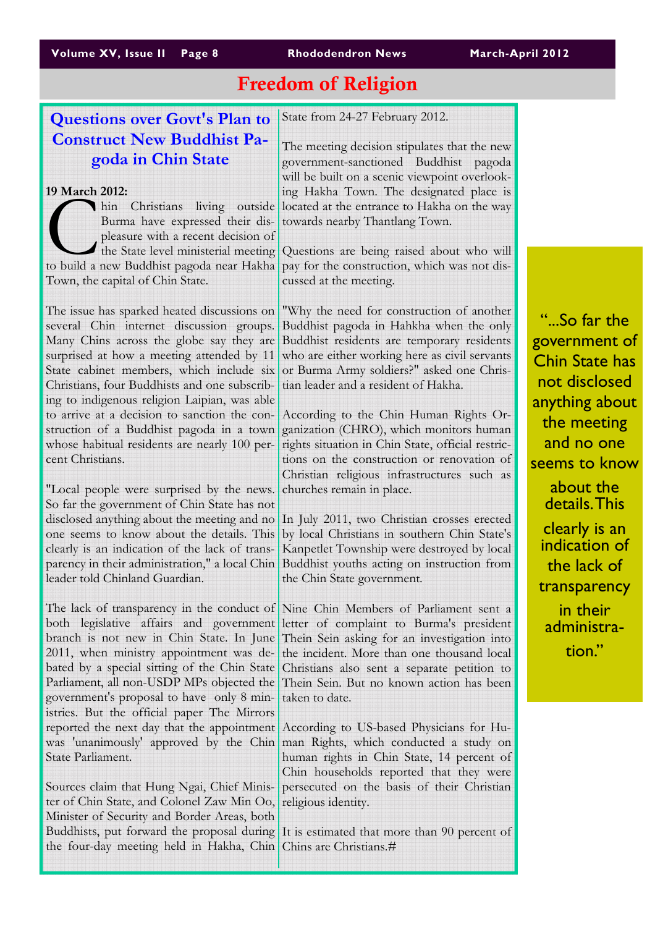# Freedom of Religion

## Questions over Govt's Plan to Construct New Buddhist Pagoda in Chin State

#### 19 March 2012:

Thin Christians living outside<br>
Burma have expressed their dis-<br>
pleasure with a recent decision of<br>
the State level ministerial meeting<br>
to build a new Buddhist pagoda near Hakha Burma have expressed their displeasure with a recent decision of the State level ministerial meeting Town, the capital of Chin State.

The issue has sparked heated discussions on several Chin internet discussion groups. Many Chins across the globe say they are surprised at how a meeting attended by 11 State cabinet members, which include six Christians, four Buddhists and one subscribing to indigenous religion Laipian, was able to arrive at a decision to sanction the construction of a Buddhist pagoda in a town whose habitual residents are nearly 100 percent Christians.

"Local people were surprised by the news. So far the government of Chin State has not disclosed anything about the meeting and no one seems to know about the details. This clearly is an indication of the lack of transparency in their administration," a local Chin leader told Chinland Guardian.

The lack of transparency in the conduct of both legislative affairs and government branch is not new in Chin State. In June 2011, when ministry appointment was debated by a special sitting of the Chin State Parliament, all non-USDP MPs objected the government's proposal to have only 8 ministries. But the official paper The Mirrors reported the next day that the appointment was 'unanimously' approved by the Chin State Parliament.

Sources claim that Hung Ngai, Chief Minister of Chin State, and Colonel Zaw Min Oo, Minister of Security and Border Areas, both Buddhists, put forward the proposal during the four-day meeting held in Hakha, Chin

State from 24-27 February 2012.

The meeting decision stipulates that the new government-sanctioned Buddhist pagoda will be built on a scenic viewpoint overlooking Hakha Town. The designated place is located at the entrance to Hakha on the way towards nearby Thantlang Town.

Questions are being raised about who will pay for the construction, which was not discussed at the meeting.

"Why the need for construction of another Buddhist pagoda in Hahkha when the only Buddhist residents are temporary residents who are either working here as civil servants or Burma Army soldiers?" asked one Christian leader and a resident of Hakha.

According to the Chin Human Rights Organization (CHRO), which monitors human rights situation in Chin State, official restrictions on the construction or renovation of Christian religious infrastructures such as churches remain in place.

In July 2011, two Christian crosses erected by local Christians in southern Chin State's Kanpetlet Township were destroyed by local Buddhist youths acting on instruction from the Chin State government.

Nine Chin Members of Parliament sent a letter of complaint to Burma's president Thein Sein asking for an investigation into the incident. More than one thousand local Christians also sent a separate petition to Thein Sein. But no known action has been taken to date.

According to US-based Physicians for Human Rights, which conducted a study on human rights in Chin State, 14 percent of Chin households reported that they were persecuted on the basis of their Christian religious identity.

It is estimated that more than 90 percent of Chins are Christians.#

"...So far the government of Chin State has not disclosed anything about the meeting and no one seems to know about the details. This clearly is an indication of the lack of

transparency in their administration."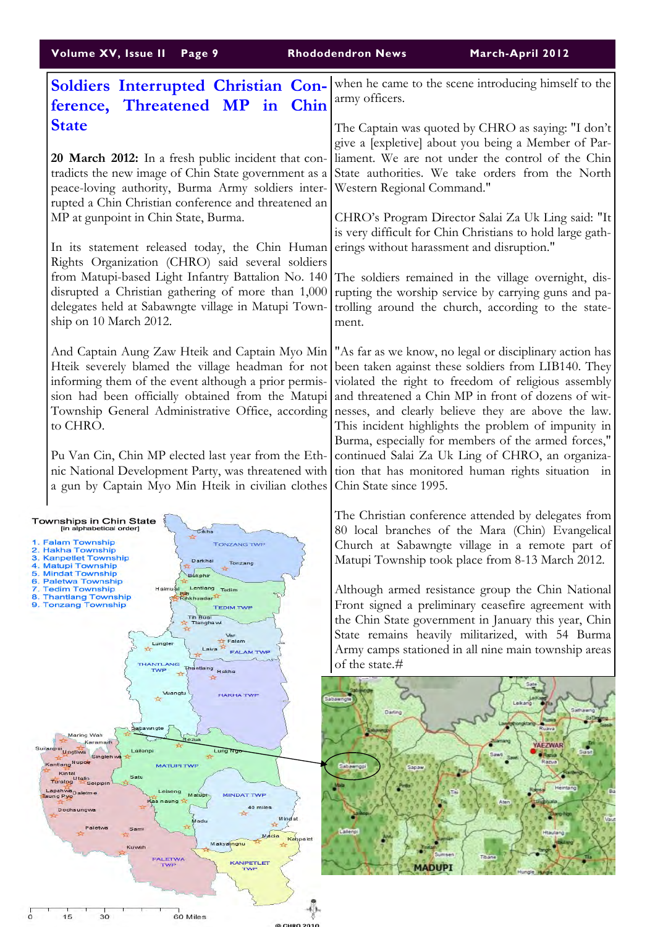| Volume XV, Issue II Page 9                                                                                                                                                                                                                                                                                                                                                                                                                                                                                                                                                                           |               | <b>Rhododendron News</b><br>March-April 2012                                                                                                                                                                                                                                                                                                                                                                                                                                                                                                                                                                                            |
|------------------------------------------------------------------------------------------------------------------------------------------------------------------------------------------------------------------------------------------------------------------------------------------------------------------------------------------------------------------------------------------------------------------------------------------------------------------------------------------------------------------------------------------------------------------------------------------------------|---------------|-----------------------------------------------------------------------------------------------------------------------------------------------------------------------------------------------------------------------------------------------------------------------------------------------------------------------------------------------------------------------------------------------------------------------------------------------------------------------------------------------------------------------------------------------------------------------------------------------------------------------------------------|
| Soldiers Interrupted Christian Con-<br>ference, Threatened MP in                                                                                                                                                                                                                                                                                                                                                                                                                                                                                                                                     | Chin          | when he came to the scene introducing himself to the<br>army officers.                                                                                                                                                                                                                                                                                                                                                                                                                                                                                                                                                                  |
| <b>State</b><br>20 March 2012: In a fresh public incident that con-<br>tradicts the new image of Chin State government as a<br>peace-loving authority, Burma Army soldiers inter-<br>rupted a Chin Christian conference and threatened an<br>MP at gunpoint in Chin State, Burma.                                                                                                                                                                                                                                                                                                                    |               | The Captain was quoted by CHRO as saying: "I don't<br>give a [expletive] about you being a Member of Par-<br>liament. We are not under the control of the Chin<br>State authorities. We take orders from the North<br>Western Regional Command."<br>CHRO's Program Director Salai Za Uk Ling said: "It<br>is very difficult for Chin Christians to hold large gath-                                                                                                                                                                                                                                                                     |
| In its statement released today, the Chin Human<br>Rights Organization (CHRO) said several soldiers<br>from Matupi-based Light Infantry Battalion No. 140<br>disrupted a Christian gathering of more than 1,000<br>delegates held at Sabawngte village in Matupi Town-<br>ship on 10 March 2012.                                                                                                                                                                                                                                                                                                     |               | erings without harassment and disruption."<br>The soldiers remained in the village overnight, dis-<br>rupting the worship service by carrying guns and pa-<br>trolling around the church, according to the state-<br>ment.                                                                                                                                                                                                                                                                                                                                                                                                              |
| Hteik severely blamed the village headman for not<br>informing them of the event although a prior permis-<br>sion had been officially obtained from the Matupi<br>to CHRO.<br>Pu Van Cin, Chin MP elected last year from the Eth-<br>nic National Development Party, was threatened with<br>a gun by Captain Myo Min Hteik in civilian clothes                                                                                                                                                                                                                                                       |               | And Captain Aung Zaw Hteik and Captain Myo Min   "As far as we know, no legal or disciplinary action has<br>been taken against these soldiers from LIB140. They<br>violated the right to freedom of religious assembly<br>and threatened a Chin MP in front of dozens of wit-<br>Township General Administrative Office, according nesses, and clearly believe they are above the law.<br>This incident highlights the problem of impunity in<br>Burma, especially for members of the armed forces,"<br>continued Salai Za Uk Ling of CHRO, an organiza-<br>tion that has monitored human rights situation in<br>Chin State since 1995. |
| Townships in Chin State<br>[in alphabetical order]<br>Cikha<br>1. Falam Township<br><b>TONZANG TWE</b><br>2. Hakha Township<br>3. Kanpetlet Township<br>Darkhai<br>Tonzang<br>4. Matupi Township<br>5. Mindat Township<br>Bukphir<br>6. Paletwa Township<br>Lentlang Tedim<br>7. Tedim Township<br>Haimual<br>8. Thantlang Township<br>Rihkhuadar<br>9. Tonzang Township<br><b>TEDIM TWP</b><br><b>Tih Bual</b><br>Tlangha wi<br>Var<br>Falam<br>Lungler<br>Laiva<br><b>FALAM TWP</b><br><b>THANTLANG</b><br>Thantlang<br>TWP<br>Hakha                                                               |               | The Christian conference attended by delegates from<br>80 local branches of the Mara (Chin) Evangelical<br>Church at Sabawngte village in a remote part of<br>Matupi Township took place from 8-13 March 2012.<br>Although armed resistance group the Chin National<br>Front signed a preliminary ceasefire agreement with<br>the Chin State government in January this year, Chin<br>State remains heavily militarized, with 54 Burma<br>Army camps stationed in all nine main township areas<br>of the state.#                                                                                                                        |
| Vuangtu<br><b>HAKHA TWP</b><br>嵒<br>Sabawngte<br>Maring Wah<br>Rezua<br>Karamaih<br>Suilanpui<br>Lailenpi<br>Lung Ng<br><b>Ungtiwa</b><br>Sin gleh wa<br>Kantlang Nupoe<br><b>MATUPI TWP</b><br>Kintal<br>Satu<br>Turalpg <sup>Utalin</sup><br><sup>24</sup> Seipipin<br>Lapahwa <sub>Daletme</sub><br>Leiseng<br><b>MINDAT TWP</b><br>Matupi<br>Taung Pyo<br><b><aa b="" naung<=""><br/>40 miles<br/>Dochaungwa<br/>Mind at<br/>Madu<br/>Paletwa<br/>Sami<br/><math>\sum_{i=1}^{n}</math><br/>Mada<br/>Makyaingnu<br/>Kuwah<br/><b>PALETWA</b><br/><b>KANPETLET</b><br/><b>TWP</b><br/>TWP</aa></b> | Kahpalet      | Sabawngte<br>Sathawng<br>Darling<br>Sa L<br>Ruava<br>YAEZWAR<br><b>Pagia</b><br>Razua<br>Sabawngpi<br><b>Sapaw</b><br>Heintang<br>Tal<br>Aten<br>larg No<br>alleno<br>Tibane<br><b>MADUPI</b>                                                                                                                                                                                                                                                                                                                                                                                                                                           |
| 15<br>30<br>60 Miles                                                                                                                                                                                                                                                                                                                                                                                                                                                                                                                                                                                 | $\frac{1}{2}$ |                                                                                                                                                                                                                                                                                                                                                                                                                                                                                                                                                                                                                                         |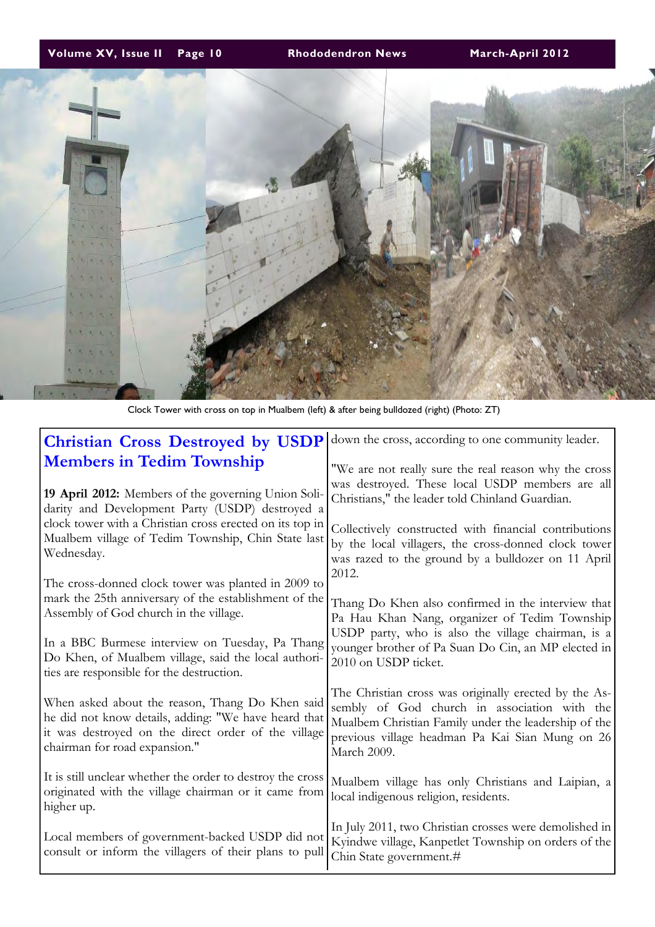### Volume XV, Issue II Page 10 Rhododendron News March-April 2012



Clock Tower with cross on top in Mualbem (left) & after being bulldozed (right) (Photo: ZT)

| <b>Christian Cross Destroyed by USDP</b>                                                                                                                                                        | down the cross, according to one community leader.                                                                                                                                                                              |
|-------------------------------------------------------------------------------------------------------------------------------------------------------------------------------------------------|---------------------------------------------------------------------------------------------------------------------------------------------------------------------------------------------------------------------------------|
| <b>Members in Tedim Township</b><br>19 April 2012: Members of the governing Union Soli-<br>darity and Development Party (USDP) destroyed a                                                      | "We are not really sure the real reason why the cross<br>was destroyed. These local USDP members are all<br>Christians," the leader told Chinland Guardian.                                                                     |
| clock tower with a Christian cross erected on its top in<br>Mualbem village of Tedim Township, Chin State last<br>Wednesday.                                                                    | Collectively constructed with financial contributions<br>by the local villagers, the cross-donned clock tower<br>was razed to the ground by a bulldozer on 11 April<br>2012.                                                    |
| The cross-donned clock tower was planted in 2009 to<br>mark the 25th anniversary of the establishment of the<br>Assembly of God church in the village.                                          | Thang Do Khen also confirmed in the interview that<br>Pa Hau Khan Nang, organizer of Tedim Township<br>USDP party, who is also the village chairman, is a                                                                       |
| In a BBC Burmese interview on Tuesday, Pa Thang<br>Do Khen, of Mualbem village, said the local authori-<br>ties are responsible for the destruction.                                            | younger brother of Pa Suan Do Cin, an MP elected in<br>2010 on USDP ticket.                                                                                                                                                     |
| When asked about the reason, Thang Do Khen said<br>he did not know details, adding: "We have heard that<br>it was destroyed on the direct order of the village<br>chairman for road expansion." | The Christian cross was originally erected by the As-<br>sembly of God church in association with the<br>Mualbem Christian Family under the leadership of the<br>previous village headman Pa Kai Sian Mung on 26<br>March 2009. |
| It is still unclear whether the order to destroy the cross<br>originated with the village chairman or it came from<br>higher up.                                                                | Mualbem village has only Christians and Laipian, a<br>local indigenous religion, residents.                                                                                                                                     |
| Local members of government-backed USDP did not<br>consult or inform the villagers of their plans to pull                                                                                       | In July 2011, two Christian crosses were demolished in<br>Kyindwe village, Kanpetlet Township on orders of the<br>Chin State government.#                                                                                       |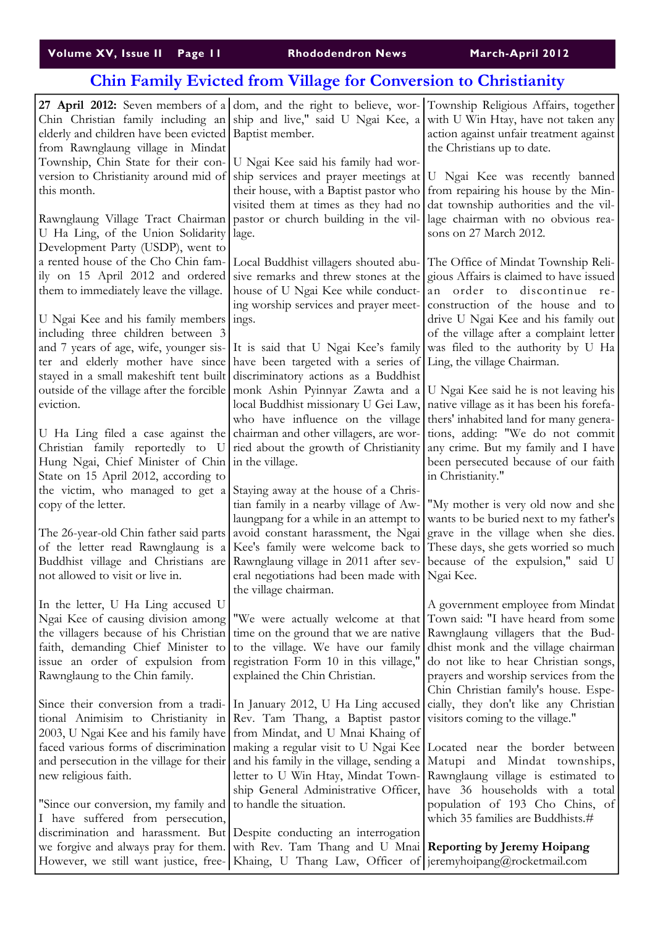| Volume XV, Issue II Page II, |  |
|------------------------------|--|
|------------------------------|--|

Rhododendron News March-April 2012

# Chin Family Evicted from Village for Conversion to Christianity

| elderly and children have been evicted   Baptist member.<br>from Rawnglaung village in Mindat                                                                                        | Chin Christian family including an ship and live," said U Ngai Kee, a with U Win Htay, have not taken any                                                                                                                                                                                                                                                                                                                                                                           | 27 April 2012: Seven members of a dom, and the right to believe, wor- Township Religious Affairs, together<br>action against unfair treatment against<br>the Christians up to date.                                                                                                                                                                                           |
|--------------------------------------------------------------------------------------------------------------------------------------------------------------------------------------|-------------------------------------------------------------------------------------------------------------------------------------------------------------------------------------------------------------------------------------------------------------------------------------------------------------------------------------------------------------------------------------------------------------------------------------------------------------------------------------|-------------------------------------------------------------------------------------------------------------------------------------------------------------------------------------------------------------------------------------------------------------------------------------------------------------------------------------------------------------------------------|
| Township, Chin State for their con-<br>this month.<br>Rawnglaung Village Tract Chairman<br>U Ha Ling, of the Union Solidarity<br>Development Party (USDP), went to                   | U Ngai Kee said his family had wor-<br>version to Christianity around mid of ship services and prayer meetings at<br>lage.                                                                                                                                                                                                                                                                                                                                                          | U Ngai Kee was recently banned<br>their house, with a Baptist pastor who from repairing his house by the Min-<br>visited them at times as they had no dat township authorities and the vil-<br>pastor or church building in the vil- lage chairman with no obvious rea-<br>sons on 27 March 2012.                                                                             |
| ily on 15 April 2012 and ordered<br>them to immediately leave the village.<br>U Ngai Kee and his family members ings.<br>including three children between 3                          | a rented house of the Cho Chin fam- Local Buddhist villagers shouted abu- The Office of Mindat Township Reli-<br>and 7 years of age, wife, younger sis- It is said that U Ngai Kee's family was filed to the authority by U Ha                                                                                                                                                                                                                                                      | sive remarks and threw stones at the gious Affairs is claimed to have issued<br>house of U Ngai Kee while conduct- an order to discontinue re-<br>ing worship services and prayer meet- construction of the house and to<br>drive U Ngai Kee and his family out<br>of the village after a complaint letter                                                                    |
|                                                                                                                                                                                      | ter and elderly mother have since have been targeted with a series of Ling, the village Chairman.<br>stayed in a small makeshift tent built discriminatory actions as a Buddhist<br>outside of the village after the forcible monk Ashin Pyinnyar Zawta and a                                                                                                                                                                                                                       | U Ngai Kee said he is not leaving his                                                                                                                                                                                                                                                                                                                                         |
| eviction.                                                                                                                                                                            | local Buddhist missionary U Gei Law,<br>who have influence on the village<br>U Ha Ling filed a case against the chairman and other villagers, are wor-<br>Christian family reportedly to U ried about the growth of Christianity any crime. But my family and I have                                                                                                                                                                                                                | native village as it has been his forefa-<br>thers' inhabited land for many genera-<br>tions, adding: "We do not commit                                                                                                                                                                                                                                                       |
| Hung Ngai, Chief Minister of Chin in the village.<br>State on 15 April 2012, according to<br>the victim, who managed to get a                                                        | Staying away at the house of a Chris-                                                                                                                                                                                                                                                                                                                                                                                                                                               | been persecuted because of our faith<br>in Christianity."                                                                                                                                                                                                                                                                                                                     |
| copy of the letter.<br>not allowed to visit or live in.                                                                                                                              | tian family in a nearby village of Aw-<br>laungpang for a while in an attempt to<br>The 26-year-old Chin father said parts   avoid constant harassment, the Ngai   grave in the village when she dies.<br>of the letter read Rawnglaung is a Kee's family were welcome back to These days, she gets worned so much<br>Buddhist village and Christians are Rawnglaung village in 2011 after sev- because of the expulsion," said U<br>eral negotiations had been made with Ngai Kee. | "My mother is very old now and she<br>wants to be buried next to my father's                                                                                                                                                                                                                                                                                                  |
| In the letter, U Ha Ling accused U<br>Ngai Kee of causing division among<br>faith, demanding Chief Minister to<br>issue an order of expulsion from<br>Rawnglaung to the Chin family. | the village chairman.<br>the villagers because of his Christian time on the ground that we are native Rawnglaung villagers that the Bud-<br>to the village. We have our family<br>registration Form 10 in this village,"<br>explained the Chin Christian.                                                                                                                                                                                                                           | A government employee from Mindat<br>"We were actually welcome at that Town said: "I have heard from some<br>dhist monk and the village chairman<br>do not like to hear Christian songs,<br>prayers and worship services from the<br>Chin Christian family's house. Espe-                                                                                                     |
| new religious faith.                                                                                                                                                                 | Since their conversion from a tradi- In January 2012, U Ha Ling accused cially, they don't like any Christian<br>tional Animisim to Christianity in Rev. Tam Thang, a Baptist pastor visitors coming to the village."<br>2003, U Ngai Kee and his family have from Mindat, and U Mnai Khaing of                                                                                                                                                                                     | faced various forms of discrimination making a regular visit to U Ngai Kee Located near the border between<br>and persecution in the village for their and his family in the village, sending a Matupi and Mindat townships,<br>letter to U Win Htay, Mindat Town- Rawnglaung village is estimated to<br>ship General Administrative Officer, have 36 households with a total |
| "Since our conversion, my family and<br>I have suffered from persecution,<br>we forgive and always pray for them.                                                                    | to handle the situation.<br>discrimination and harassment. But Despite conducting an interrogation<br>with Rev. Tam Thang and U Mnai Reporting by Jeremy Hoipang<br>However, we still want justice, free- Khaing, U Thang Law, Officer of jeremyhoipang@rocketmail.com                                                                                                                                                                                                              | population of 193 Cho Chins, of<br>which 35 families are Buddhists.#                                                                                                                                                                                                                                                                                                          |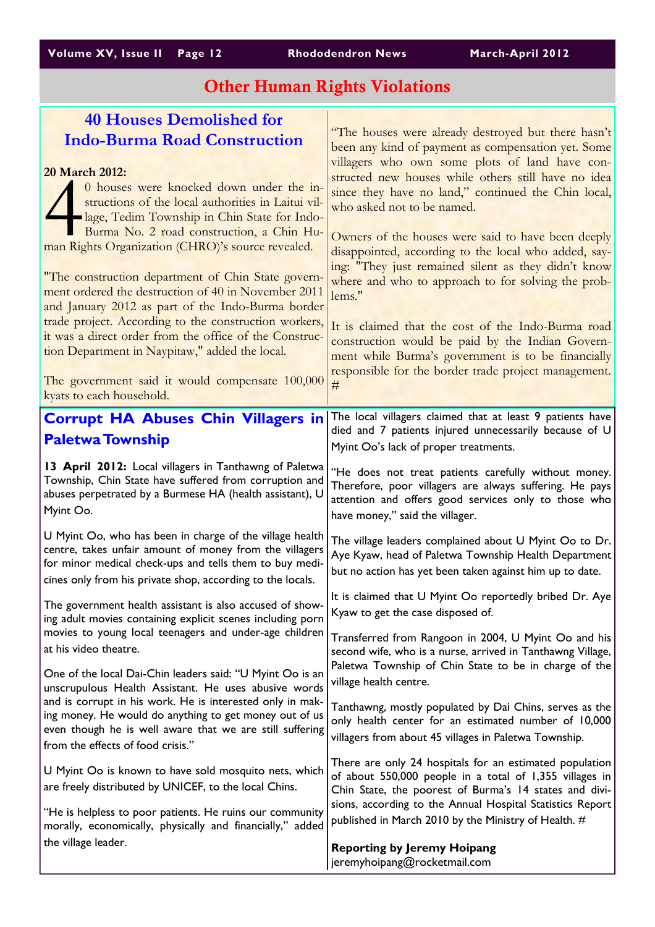| Volume XV, Issue II Page 12 |  |  |  |  |
|-----------------------------|--|--|--|--|
|-----------------------------|--|--|--|--|

# Other Human Rights Violations

| <b>40 Houses Demolished for</b>                                                                                       |                                                                                                                     |
|-----------------------------------------------------------------------------------------------------------------------|---------------------------------------------------------------------------------------------------------------------|
| <b>Indo-Burma Road Construction</b>                                                                                   | "The houses were already destroyed but there hasn't<br>been any kind of payment as compensation yet. Some           |
|                                                                                                                       | villagers who own some plots of land have con-                                                                      |
| 20 March 2012:                                                                                                        | structed new houses while others still have no idea                                                                 |
| 0 houses were knocked down under the in-<br>structions of the local authorities in Laitui vil-                        | since they have no land," continued the Chin local,                                                                 |
| lage, Tedim Township in Chin State for Indo-                                                                          | who asked not to be named.                                                                                          |
| Burma No. 2 road construction, a Chin Hu-                                                                             | Owners of the houses were said to have been deeply                                                                  |
| man Rights Organization (CHRO)'s source revealed.                                                                     | disappointed, according to the local who added, say-                                                                |
|                                                                                                                       | ing: "They just remained silent as they didn't know                                                                 |
| "The construction department of Chin State govern-<br>ment ordered the destruction of 40 in November 2011             | where and who to approach to for solving the prob-                                                                  |
| and January 2012 as part of the Indo-Burma border                                                                     | lems."                                                                                                              |
| trade project. According to the construction workers,                                                                 | It is claimed that the cost of the Indo-Burma road                                                                  |
| it was a direct order from the office of the Construc-                                                                | construction would be paid by the Indian Govern-                                                                    |
| tion Department in Naypitaw," added the local.                                                                        | ment while Burma's government is to be financially                                                                  |
| The government said it would compensate 100,000                                                                       | responsible for the border trade project management.                                                                |
| kyats to each household.                                                                                              | #                                                                                                                   |
| <b>Corrupt HA Abuses Chin Villagers in</b>                                                                            | The local villagers claimed that at least 9 patients have                                                           |
|                                                                                                                       | died and 7 patients injured unnecessarily because of U                                                              |
| <b>Paletwa Township</b>                                                                                               | Myint Oo's lack of proper treatments.                                                                               |
| 13 April 2012: Local villagers in Tanthawng of Paletwa                                                                | "He does not treat patients carefully without money.                                                                |
| Township, Chin State have suffered from corruption and<br>abuses perpetrated by a Burmese HA (health assistant), U    | Therefore, poor villagers are always suffering. He pays                                                             |
| Myint Oo.                                                                                                             | attention and offers good services only to those who                                                                |
|                                                                                                                       | have money," said the villager.                                                                                     |
| U Myint Oo, who has been in charge of the village health<br>centre, takes unfair amount of money from the villagers   | The village leaders complained about U Myint Oo to Dr.                                                              |
| for minor medical check-ups and tells them to buy medi-                                                               |                                                                                                                     |
|                                                                                                                       | Aye Kyaw, head of Paletwa Township Health Department                                                                |
| cines only from his private shop, according to the locals.                                                            | but no action has yet been taken against him up to date.                                                            |
|                                                                                                                       | It is claimed that U Myint Oo reportedly bribed Dr. Aye                                                             |
| The government health assistant is also accused of show<br>ing adult movies containing explicit scenes including porn | Kyaw to get the case disposed of.                                                                                   |
| movies to young local teenagers and under-age children                                                                |                                                                                                                     |
| at his video theatre.                                                                                                 | Transferred from Rangoon in 2004, U Myint Oo and his<br>second wife, who is a nurse, arrived in Tanthawng Village,  |
| One of the local Dai-Chin leaders said: "U Myint Oo is an                                                             | Paletwa Township of Chin State to be in charge of the                                                               |
| unscrupulous Health Assistant. He uses abusive words                                                                  | village health centre.                                                                                              |
| and is corrupt in his work. He is interested only in mak-                                                             | Tanthawng, mostly populated by Dai Chins, serves as the                                                             |
| ing money. He would do anything to get money out of us<br>even though he is well aware that we are still suffering    | only health center for an estimated number of 10,000                                                                |
| from the effects of food crisis."                                                                                     | villagers from about 45 villages in Paletwa Township.                                                               |
|                                                                                                                       | There are only 24 hospitals for an estimated population                                                             |
| U Myint Oo is known to have sold mosquito nets, which<br>are freely distributed by UNICEF, to the local Chins.        | of about 550,000 people in a total of 1,355 villages in                                                             |
|                                                                                                                       | Chin State, the poorest of Burma's 14 states and divi-<br>sions, according to the Annual Hospital Statistics Report |
| "He is helpless to poor patients. He ruins our community                                                              | published in March 2010 by the Ministry of Health. #                                                                |
| morally, economically, physically and financially," added<br>the village leader.                                      | <b>Reporting by Jeremy Hoipang</b>                                                                                  |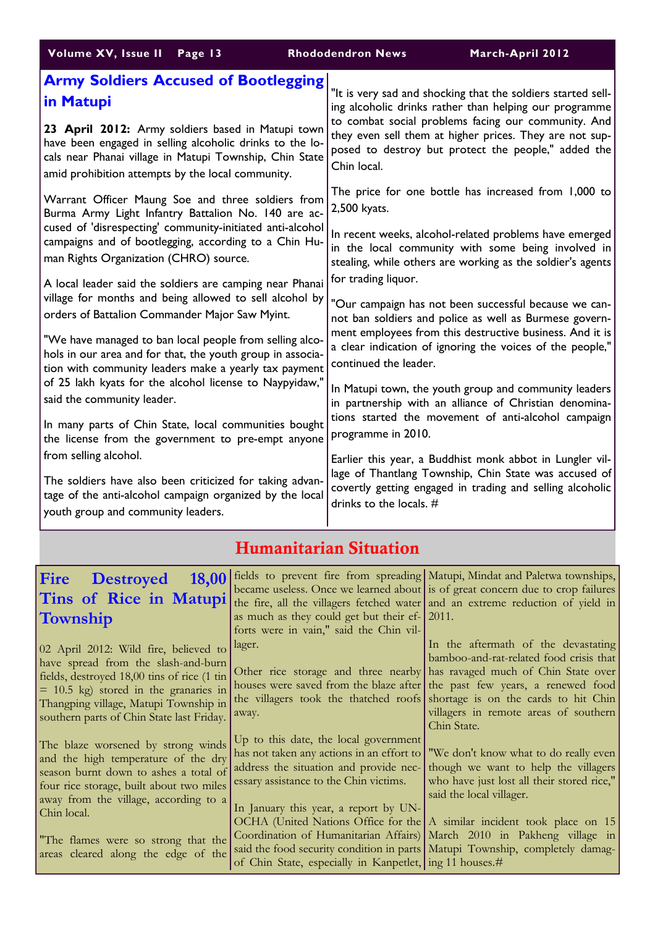| Volume XV, Issue II Page 13                                | <b>Rhododendron News</b><br>March-April 2012                 |
|------------------------------------------------------------|--------------------------------------------------------------|
| <b>Army Soldiers Accused of Bootlegging</b>                | "It is very sad and shocking that the soldiers started sell- |
| in Matupi                                                  | ing alcoholic drinks rather than helping our programme       |
| 23 April 2012: Army soldiers based in Matupi town          | to combat social problems facing our community. And          |
| have been engaged in selling alcoholic drinks to the lo-   | they even sell them at higher prices. They are not sup-      |
| cals near Phanai village in Matupi Township, Chin State    | posed to destroy but protect the people," added the          |
| amid prohibition attempts by the local community.          | Chin local.                                                  |
| Warrant Officer Maung Soe and three soldiers from          | The price for one bottle has increased from 1,000 to         |
| Burma Army Light Infantry Battalion No. 140 are ac-        | 2,500 kyats.                                                 |
| cused of 'disrespecting' community-initiated anti-alcohol  | In recent weeks, alcohol-related problems have emerged       |
| campaigns and of bootlegging, according to a Chin Hu-      | in the local community with some being involved in           |
| man Rights Organization (CHRO) source.                     | stealing, while others are working as the soldier's agents   |
| A local leader said the soldiers are camping near Phanai   | for trading liquor.                                          |
| village for months and being allowed to sell alcohol by    | "Our campaign has not been successful because we can-        |
| orders of Battalion Commander Major Saw Myint.             | not ban soldiers and police as well as Burmese govern-       |
| "We have managed to ban local people from selling alco-    | ment employees from this destructive business. And it is     |
| hols in our area and for that, the youth group in associa- | a clear indication of ignoring the voices of the people,"    |
| tion with community leaders make a yearly tax payment      | continued the leader.                                        |
| of 25 lakh kyats for the alcohol license to Naypyidaw,"    | In Matupi town, the youth group and community leaders        |
| said the community leader.                                 | in partnership with an alliance of Christian denomina-       |
| In many parts of Chin State, local communities bought      | tions started the movement of anti-alcohol campaign          |
| the license from the government to pre-empt anyone         | programme in 2010.                                           |
| from selling alcohol.                                      | Earlier this year, a Buddhist monk abbot in Lungler vil-     |
| The soldiers have also been criticized for taking advan-   | lage of Thantlang Township, Chin State was accused of        |
| tage of the anti-alcohol campaign organized by the local   | covertly getting engaged in trading and selling alcoholic    |
| youth group and community leaders.                         | drinks to the locals. $#$                                    |

# Humanitarian Situation

| 18,00<br><b>Fire Destroyed</b><br>Tins of Rice in Matupi<br>Township                                                                                                                                                                                                                                | as much as they could get but their ef- 2011.<br>forts were in vain," said the Chin vil-                                                                                            | fields to prevent fire from spreading Matupi, Mindat and Paletwa townships,<br>became useless. Once we learned about is of great concern due to crop failures<br>the fire, all the villagers fetched water and an extreme reduction of yield in                                                                                                                                                                                                                                           |
|-----------------------------------------------------------------------------------------------------------------------------------------------------------------------------------------------------------------------------------------------------------------------------------------------------|-------------------------------------------------------------------------------------------------------------------------------------------------------------------------------------|-------------------------------------------------------------------------------------------------------------------------------------------------------------------------------------------------------------------------------------------------------------------------------------------------------------------------------------------------------------------------------------------------------------------------------------------------------------------------------------------|
| 02 April 2012: Wild fire, believed to<br>have spread from the slash-and-burn<br>fields, destroyed 18,00 tins of rice (1 tin<br>$= 10.5$ kg) stored in the granaries in<br>Thangping village, Matupi Township in<br>southern parts of Chin State last Friday.                                        | lager.<br>away.                                                                                                                                                                     | In the aftermath of the devastating<br>bamboo-and-rat-related food crisis that<br>Other rice storage and three nearby has ravaged much of Chin State over<br>houses were saved from the blaze after the past few years, a renewed food<br>the villagers took the thatched roofs shortage is on the cards to hit Chin<br>villagers in remote areas of southern<br>Chin State.                                                                                                              |
| The blaze worsened by strong winds<br>and the high temperature of the dry<br>season burnt down to ashes a total of<br>four rice storage, built about two miles<br>away from the village, according to a<br>Chin local.<br>The flames were so strong that the<br>areas cleared along the edge of the | Up to this date, the local government<br>essary assistance to the Chin victims.<br>In January this year, a report by UN-<br>of Chin State, especially in Kanpetlet, ing 11 houses.# | has not taken any actions in an effort to   "We don't know what to do really even<br>address the situation and provide nec- though we want to help the villagers<br>who have just lost all their stored rice,"<br>said the local villager.<br>OCHA (United Nations Office for the $ A \sin \theta $ incident took place on 15<br>Coordination of Humanitarian Affairs) March 2010 in Pakheng village in<br>said the food security condition in parts   Matupi Township, completely damag- |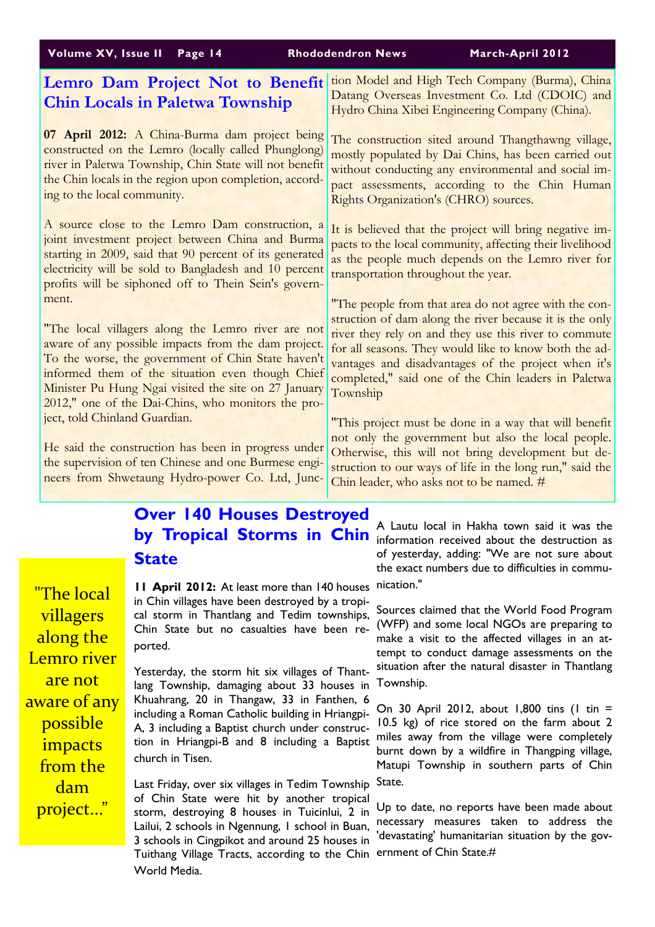|                                                                                                                                                                                                                                                                              |                                                                                                                                                                                                     | Volume XV, Issue II Page 14                                                                                                                                                                                                                                                                                                       | <b>Rhododendron News</b> | March-April 2012                                                                                                                                                                                                                                                                                                                                 |  |
|------------------------------------------------------------------------------------------------------------------------------------------------------------------------------------------------------------------------------------------------------------------------------|-----------------------------------------------------------------------------------------------------------------------------------------------------------------------------------------------------|-----------------------------------------------------------------------------------------------------------------------------------------------------------------------------------------------------------------------------------------------------------------------------------------------------------------------------------|--------------------------|--------------------------------------------------------------------------------------------------------------------------------------------------------------------------------------------------------------------------------------------------------------------------------------------------------------------------------------------------|--|
|                                                                                                                                                                                                                                                                              |                                                                                                                                                                                                     | Lemro Dam Project Not to Benefit<br><b>Chin Locals in Paletwa Township</b>                                                                                                                                                                                                                                                        |                          | tion Model and High Tech Company (Burma), China<br>Datang Overseas Investment Co. Ltd (CDOIC) and<br>Hydro China Xibei Engineering Company (China).                                                                                                                                                                                              |  |
|                                                                                                                                                                                                                                                                              | ing to the local community.                                                                                                                                                                         | 07 April 2012: A China-Burma dam project being<br>constructed on the Lemro (locally called Phunglong)<br>river in Paletwa Township, Chin State will not benefit<br>the Chin locals in the region upon completion, accord-                                                                                                         |                          | The construction sited around Thangthawng village,<br>mostly populated by Dai Chins, has been carried out<br>without conducting any environmental and social im-<br>pact assessments, according to the Chin Human<br>Rights Organization's (CHRO) sources.                                                                                       |  |
|                                                                                                                                                                                                                                                                              |                                                                                                                                                                                                     | A source close to the Lemro Dam construction, a<br>joint investment project between China and Burma<br>starting in 2009, said that 90 percent of its generated<br>electricity will be sold to Bangladesh and 10 percent<br>profits will be siphoned off to Thein Sein's govern-                                                   |                          | It is believed that the project will bring negative im-<br>pacts to the local community, affecting their livelihood<br>as the people much depends on the Lemro river for<br>transportation throughout the year.                                                                                                                                  |  |
|                                                                                                                                                                                                                                                                              | ment.                                                                                                                                                                                               | "The local villagers along the Lemro river are not<br>aware of any possible impacts from the dam project.<br>To the worse, the government of Chin State haven't<br>informed them of the situation even though Chief<br>Minister Pu Hung Ngai visited the site on 27 January<br>2012," one of the Dai-Chins, who monitors the pro- | Township                 | "The people from that area do not agree with the con-<br>struction of dam along the river because it is the only<br>river they rely on and they use this river to commute<br>for all seasons. They would like to know both the ad-<br>vantages and disadvantages of the project when it's<br>completed," said one of the Chin leaders in Paletwa |  |
|                                                                                                                                                                                                                                                                              | ject, told Chinland Guardian.                                                                                                                                                                       | He said the construction has been in progress under<br>the supervision of ten Chinese and one Burmese engi-<br>neers from Shwetaung Hydro-power Co. Ltd, Junc-                                                                                                                                                                    |                          | "This project must be done in a way that will benefit<br>not only the government but also the local people.<br>Otherwise, this will not bring development but de-<br>struction to our ways of life in the long run," said the<br>Chin leader, who asks not to be named. #                                                                        |  |
|                                                                                                                                                                                                                                                                              | <b>Over 140 Houses Destroyed</b><br>A Lautu local in Hakha town said it was the                                                                                                                     |                                                                                                                                                                                                                                                                                                                                   |                          |                                                                                                                                                                                                                                                                                                                                                  |  |
|                                                                                                                                                                                                                                                                              | by Tropical Storms in Chin information received about the destruction as<br>of yesterday, adding: "We are not sure about<br><b>State</b><br>the exact numbers due to difficulties in commu-         |                                                                                                                                                                                                                                                                                                                                   |                          |                                                                                                                                                                                                                                                                                                                                                  |  |
|                                                                                                                                                                                                                                                                              | <u> "The local</u>                                                                                                                                                                                  | <b>11 April 2012:</b> At least more than 140 houses<br>in Chin villages have been destroyed by a tropi-                                                                                                                                                                                                                           |                          | nication."                                                                                                                                                                                                                                                                                                                                       |  |
|                                                                                                                                                                                                                                                                              | Sources claimed that the World Food Program<br>villagers<br>cal storm in Thantlang and Tedim townships,<br>(WFP) and some local NGOs are preparing to<br>Chin State but no casualties have been re- |                                                                                                                                                                                                                                                                                                                                   |                          |                                                                                                                                                                                                                                                                                                                                                  |  |
|                                                                                                                                                                                                                                                                              | along the<br>ported.<br>Lemro river<br>Yesterday, the storm hit six villages of Thant-<br>are not<br>lang Township, damaging about 33 houses in                                                     |                                                                                                                                                                                                                                                                                                                                   |                          | make a visit to the affected villages in an at-<br>tempt to conduct damage assessments on the                                                                                                                                                                                                                                                    |  |
|                                                                                                                                                                                                                                                                              |                                                                                                                                                                                                     |                                                                                                                                                                                                                                                                                                                                   |                          | situation after the natural disaster in Thantlang<br>Township.                                                                                                                                                                                                                                                                                   |  |
| Khuahrang, 20 in Thangaw, 33 in Fanthen, 6<br>aware of any<br>including a Roman Catholic building in Hriangpi-<br>possible<br>10.5 kg) of rice stored on the farm about 2<br>A, 3 including a Baptist church under construc-<br>tion in Hriangpi-B and 8 including a Baptist |                                                                                                                                                                                                     | On 30 April 2012, about 1,800 tins (1 tin =                                                                                                                                                                                                                                                                                       |                          |                                                                                                                                                                                                                                                                                                                                                  |  |
|                                                                                                                                                                                                                                                                              |                                                                                                                                                                                                     | miles away from the village were completely                                                                                                                                                                                                                                                                                       |                          |                                                                                                                                                                                                                                                                                                                                                  |  |
|                                                                                                                                                                                                                                                                              | <i>impacts</i><br>church in Tisen.<br>from the                                                                                                                                                      |                                                                                                                                                                                                                                                                                                                                   |                          | burnt down by a wildfire in Thangping village,<br>Matupi Township in southern parts of Chin                                                                                                                                                                                                                                                      |  |

Last Friday, over six villages in Tedim Township State.

World Media.

dam

project..."

of Chin State were hit by another tropical storm, destroying 8 houses in Tuicinlui, 2 in Lailui, 2 schools in Ngennung, 1 school in Buan, 3 schools in Cingpikot and around 25 houses in Tuithang Village Tracts, according to the Chin ernment of Chin State.# Up to date, no reports have been made about necessary measures taken to address the 'devastating' humanitarian situation by the gov-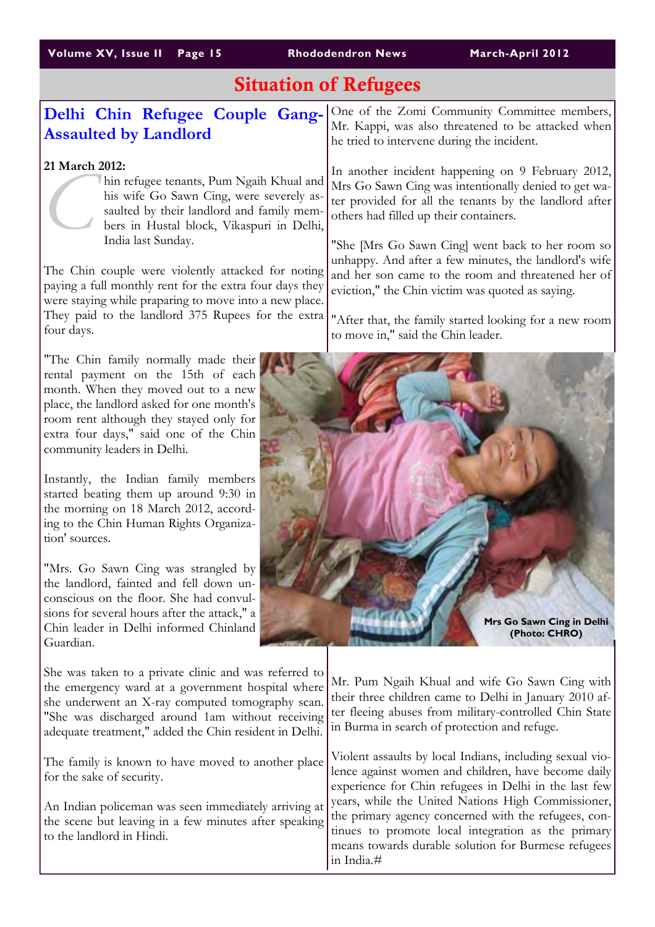# Situation of Refugees

### Delhi Chin Refugee Couple Gang-Assaulted by Landlord

#### 21 March 2012:

hin refugee tenants, Pum Ngaih Khual and his wife Go Sawn Cing, were severely assaulted by their landlord and family members in Hustal block, Vikaspuri in Delhi, India last Sunday.

The Chin couple were violently attacked for noting paying a full monthly rent for the extra four days they were staying while praparing to move into a new place. They paid to the landlord 375 Rupees for the extra four days.

"The Chin family normally made their rental payment on the 15th of each month. When they moved out to a new place, the landlord asked for one month's room rent although they stayed only for extra four days," said one of the Chin community leaders in Delhi.

Instantly, the Indian family members started beating them up around 9:30 in the morning on 18 March 2012, according to the Chin Human Rights Organization' sources.

"Mrs. Go Sawn Cing was strangled by the landlord, fainted and fell down unconscious on the floor. She had convulsions for several hours after the attack," a Chin leader in Delhi informed Chinland Guardian.

She was taken to a private clinic and was referred to the emergency ward at a government hospital where she underwent an X-ray computed tomography scan. "She was discharged around 1am without receiving adequate treatment," added the Chin resident in Delhi.

The family is known to have moved to another place for the sake of security.

An Indian policeman was seen immediately arriving at the scene but leaving in a few minutes after speaking to the landlord in Hindi.

One of the Zomi Community Committee members, Mr. Kappi, was also threatened to be attacked when he tried to intervene during the incident.

In another incident happening on 9 February 2012, Mrs Go Sawn Cing was intentionally denied to get water provided for all the tenants by the landlord after others had filled up their containers.

"She [Mrs Go Sawn Cing] went back to her room so unhappy. And after a few minutes, the landlord's wife and her son came to the room and threatened her of eviction," the Chin victim was quoted as saying.

"After that, the family started looking for a new room to move in," said the Chin leader.



Mr. Pum Ngaih Khual and wife Go Sawn Cing with their three children came to Delhi in January 2010 after fleeing abuses from military-controlled Chin State in Burma in search of protection and refuge.

Violent assaults by local Indians, including sexual violence against women and children, have become daily experience for Chin refugees in Delhi in the last few years, while the United Nations High Commissioner, the primary agency concerned with the refugees, continues to promote local integration as the primary means towards durable solution for Burmese refugees in India.#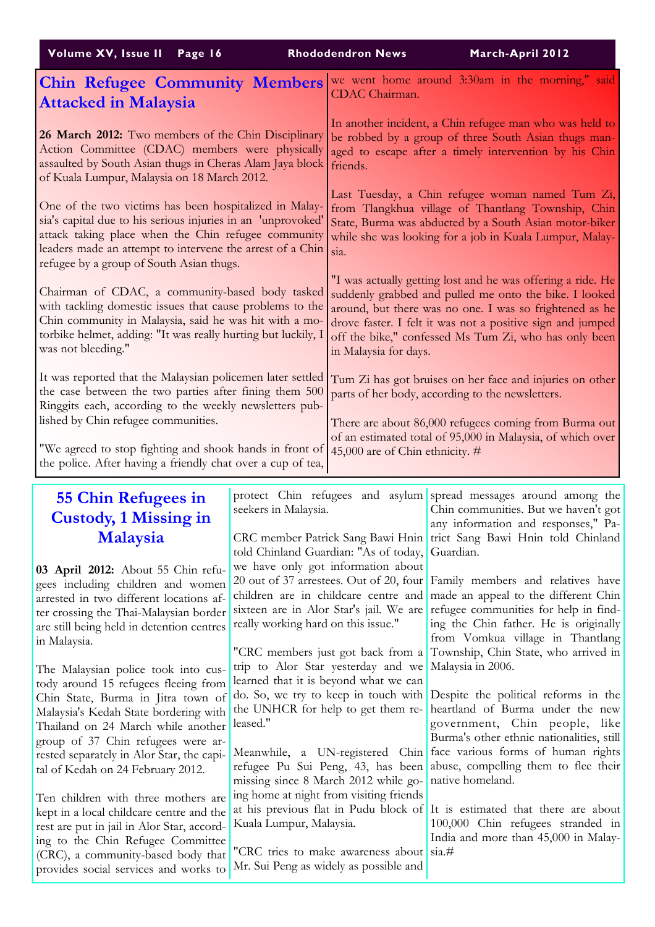| March-April 2012<br><b>Rhododendron News</b>                                                                                                                                                                                                                                                                                                                                                                                                                                                                                                                                                                                                                                                                                                                                                                               |
|----------------------------------------------------------------------------------------------------------------------------------------------------------------------------------------------------------------------------------------------------------------------------------------------------------------------------------------------------------------------------------------------------------------------------------------------------------------------------------------------------------------------------------------------------------------------------------------------------------------------------------------------------------------------------------------------------------------------------------------------------------------------------------------------------------------------------|
| we went home around 3:30am in the morning," said<br>CDAC Chairman.                                                                                                                                                                                                                                                                                                                                                                                                                                                                                                                                                                                                                                                                                                                                                         |
| In another incident, a Chin refugee man who was held to<br>be robbed by a group of three South Asian thugs man-<br>aged to escape after a timely intervention by his Chin<br>assaulted by South Asian thugs in Cheras Alam Jaya block<br>friends.                                                                                                                                                                                                                                                                                                                                                                                                                                                                                                                                                                          |
| Last Tuesday, a Chin refugee woman named Tum Zi,<br>from Tlangkhua village of Thantlang Township, Chin<br>State, Burma was abducted by a South Asian motor-biker<br>while she was looking for a job in Kuala Lumpur, Malay-<br>sia.                                                                                                                                                                                                                                                                                                                                                                                                                                                                                                                                                                                        |
| "I was actually getting lost and he was offering a ride. He<br>suddenly grabbed and pulled me onto the bike. I looked<br>around, but there was no one. I was so frightened as he<br>drove faster. I felt it was not a positive sign and jumped<br>off the bike," confessed Ms Tum Zi, who has only been<br>in Malaysia for days.                                                                                                                                                                                                                                                                                                                                                                                                                                                                                           |
| Tum Zi has got bruises on her face and injuries on other<br>parts of her body, according to the newsletters.<br>There are about 86,000 refugees coming from Burma out<br>of an estimated total of 95,000 in Malaysia, of which over<br>"We agreed to stop fighting and shook hands in front of<br>45,000 are of Chin ethnicity. #<br>the police. After having a friendly chat over a cup of tea,                                                                                                                                                                                                                                                                                                                                                                                                                           |
| <b>Chin Refugee Community Members</b><br>26 March 2012: Two members of the Chin Disciplinary<br>Action Committee (CDAC) members were physically<br>One of the two victims has been hospitalized in Malay-<br>sia's capital due to his serious injuries in an 'unprovoked'<br>attack taking place when the Chin refugee community<br>leaders made an attempt to intervene the arrest of a Chin<br>Chairman of CDAC, a community-based body tasked<br>with tackling domestic issues that cause problems to the<br>Chin community in Malaysia, said he was hit with a mo-<br>torbike helmet, adding: "It was really hurting but luckily, I<br>It was reported that the Malaysian policemen later settled<br>the case between the two parties after fining them 500<br>Ringgits each, according to the weekly newsletters pub- |

### 55 Chin Refugees in Custody, 1 Missing in Malaysia

03 April 2012: About 55 Chin refugees including children and women arrested in two different locations after crossing the Thai-Malaysian border are still being held in detention centres in Malaysia.

The Malaysian police took into custody around 15 refugees fleeing from Chin State, Burma in Jitra town of Malaysia's Kedah State bordering with Thailand on 24 March while another group of 37 Chin refugees were arrested separately in Alor Star, the capital of Kedah on 24 February 2012.

Ten children with three mothers are kept in a local childcare centre and the rest are put in jail in Alor Star, according to the Chin Refugee Committee (CRC), a community-based body that provides social services and works to

CRC member Patrick Sang Bawi Hnin told Chinland Guardian: "As of today, we have only got information about 20 out of 37 arrestees. Out of 20, four children are in childcare centre and sixteen are in Alor Star's jail. We are really working hard on this issue."

seekers in Malaysia.

"CRC members just got back from a trip to Alor Star yesterday and we learned that it is beyond what we can do. So, we try to keep in touch with the UNHCR for help to get them released."

Meanwhile, a UN-registered Chin refugee Pu Sui Peng, 43, has been missing since 8 March 2012 while going home at night from visiting friends at his previous flat in Pudu block of Kuala Lumpur, Malaysia.

"CRC tries to make awareness about Mr. Sui Peng as widely as possible and

protect Chin refugees and asylum spread messages around among the Chin communities. But we haven't got any information and responses," Patrict Sang Bawi Hnin told Chinland Guardian.

> Family members and relatives have made an appeal to the different Chin refugee communities for help in finding the Chin father. He is originally from Vomkua village in Thantlang Township, Chin State, who arrived in Malaysia in 2006.

> Despite the political reforms in the heartland of Burma under the new government, Chin people, like Burma's other ethnic nationalities, still face various forms of human rights abuse, compelling them to flee their native homeland.

> It is estimated that there are about 100,000 Chin refugees stranded in India and more than 45,000 in Malay- $\sin \#$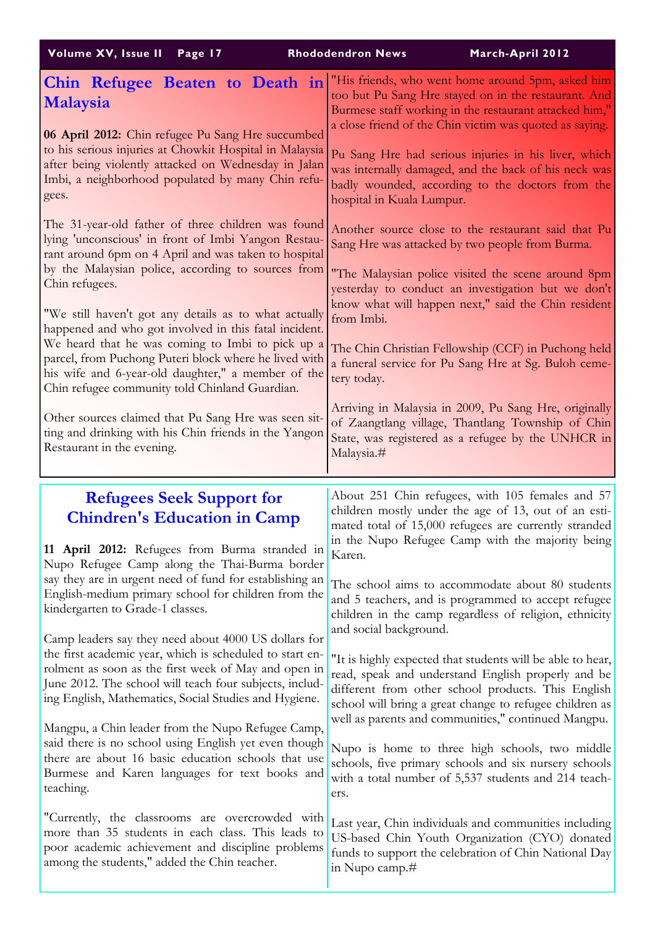| Volume XV, Issue II<br>Page 17                                                                                                                                                                                                                                                                                                                                                                                                                                                                                                                                                                                                                                                                                                                                                                                                                                       | <b>Rhododendron News</b><br>March-April 2012                                                                                                                                                                                                                                                                                                                                                                                                                                                                                                                                                                                                                                                                                                                                                                                                                                                          |
|----------------------------------------------------------------------------------------------------------------------------------------------------------------------------------------------------------------------------------------------------------------------------------------------------------------------------------------------------------------------------------------------------------------------------------------------------------------------------------------------------------------------------------------------------------------------------------------------------------------------------------------------------------------------------------------------------------------------------------------------------------------------------------------------------------------------------------------------------------------------|-------------------------------------------------------------------------------------------------------------------------------------------------------------------------------------------------------------------------------------------------------------------------------------------------------------------------------------------------------------------------------------------------------------------------------------------------------------------------------------------------------------------------------------------------------------------------------------------------------------------------------------------------------------------------------------------------------------------------------------------------------------------------------------------------------------------------------------------------------------------------------------------------------|
| Chin Refugee Beaten to Death in<br><b>Malaysia</b><br>06 April 2012: Chin refugee Pu Sang Hre succumbed<br>to his serious injuries at Chowkit Hospital in Malaysia<br>after being violently attacked on Wednesday in Jalan<br>Imbi, a neighborhood populated by many Chin refu-<br>gees.                                                                                                                                                                                                                                                                                                                                                                                                                                                                                                                                                                             | "His friends, who went home around 5pm, asked him<br>too but Pu Sang Hre stayed on in the restaurant. And<br>Burmese staff working in the restaurant attacked him,"<br>a close friend of the Chin victim was quoted as saying.<br>Pu Sang Hre had serious injuries in his liver, which<br>was internally damaged, and the back of his neck was<br>badly wounded, according to the doctors from the<br>hospital in Kuala Lumpur.                                                                                                                                                                                                                                                                                                                                                                                                                                                                       |
| The 31-year-old father of three children was found<br>lying 'unconscious' in front of Imbi Yangon Restau-<br>rant around 6pm on 4 April and was taken to hospital<br>by the Malaysian police, according to sources from<br>Chin refugees.<br>"We still haven't got any details as to what actually<br>happened and who got involved in this fatal incident.<br>We heard that he was coming to Imbi to pick up a<br>parcel, from Puchong Puteri block where he lived with<br>his wife and 6-year-old daughter," a member of the<br>Chin refugee community told Chinland Guardian.<br>Other sources claimed that Pu Sang Hre was seen sit-<br>ting and drinking with his Chin friends in the Yangon<br>Restaurant in the evening.                                                                                                                                      | Another source close to the restaurant said that Pu<br>Sang Hre was attacked by two people from Burma.<br>"The Malaysian police visited the scene around 8pm<br>yesterday to conduct an investigation but we don't<br>know what will happen next," said the Chin resident<br>from Imbi.<br>The Chin Christian Fellowship (CCF) in Puchong held<br>a funeral service for Pu Sang Hre at Sg. Buloh ceme-<br>tery today.<br>Arriving in Malaysia in 2009, Pu Sang Hre, originally<br>of Zaangtlang village, Thantlang Township of Chin<br>State, was registered as a refugee by the UNHCR in<br>Malaysia.#                                                                                                                                                                                                                                                                                               |
| <b>Refugees Seek Support for</b><br><b>Chindren's Education in Camp</b><br>11 April 2012: Refugees from Burma stranded in<br>Nupo Refugee Camp along the Thai-Burma border<br>say they are in urgent need of fund for establishing an<br>English-medium primary school for children from the<br>kindergarten to Grade-1 classes.<br>Camp leaders say they need about 4000 US dollars for<br>the first academic year, which is scheduled to start en-<br>rolment as soon as the first week of May and open in<br>June 2012. The school will teach four subjects, includ-<br>ing English, Mathematics, Social Studies and Hygiene.<br>Mangpu, a Chin leader from the Nupo Refugee Camp,<br>said there is no school using English yet even though<br>there are about 16 basic education schools that use<br>Burmese and Karen languages for text books and<br>teaching. | About 251 Chin refugees, with 105 females and 57<br>children mostly under the age of 13, out of an esti-<br>mated total of 15,000 refugees are currently stranded<br>in the Nupo Refugee Camp with the majority being<br>Karen.<br>The school aims to accommodate about 80 students<br>and 5 teachers, and is programmed to accept refugee<br>children in the camp regardless of religion, ethnicity<br>and social background.<br>"It is highly expected that students will be able to hear,<br>read, speak and understand English properly and be<br>different from other school products. This English<br>school will bring a great change to refugee children as<br>well as parents and communities," continued Mangpu.<br>Nupo is home to three high schools, two middle<br>schools, five primary schools and six nursery schools<br>with a total number of 5,537 students and 214 teach-<br>ers. |
| "Currently, the classrooms are overcrowded with<br>more than 35 students in each class. This leads to<br>poor academic achievement and discipline problems<br>among the students," added the Chin teacher.                                                                                                                                                                                                                                                                                                                                                                                                                                                                                                                                                                                                                                                           | Last year, Chin individuals and communities including<br>US-based Chin Youth Organization (CYO) donated<br>funds to support the celebration of Chin National Day<br>in Nupo camp.#                                                                                                                                                                                                                                                                                                                                                                                                                                                                                                                                                                                                                                                                                                                    |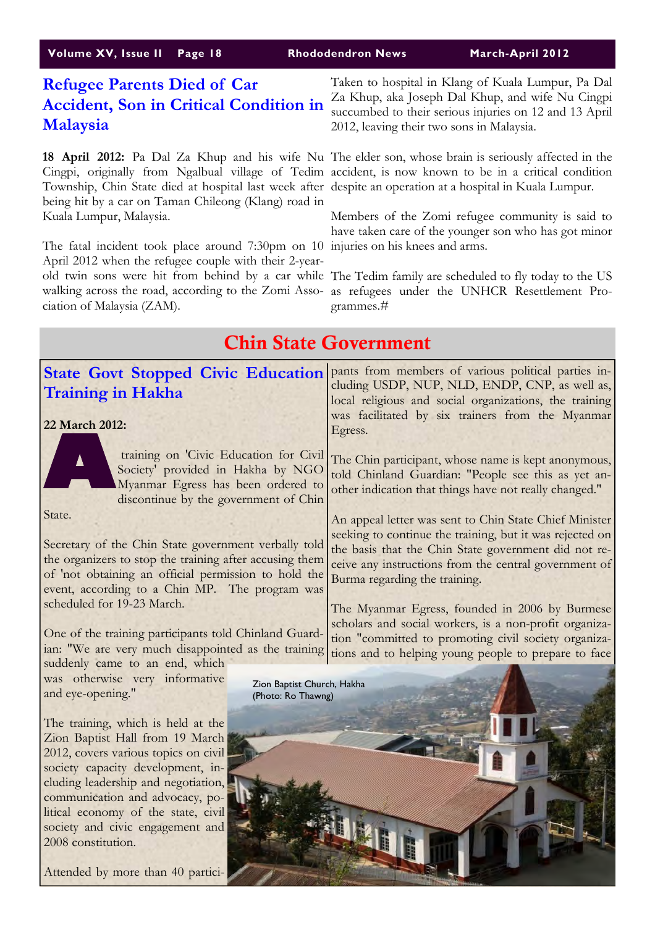| Volume XV, Issue II Page 18        | <b>Rhododendron News</b>                             |
|------------------------------------|------------------------------------------------------|
| <b>Refugee Parents Died of Car</b> | Taken to hospital in Klang<br>Zo Khun eko Joseph Del |

# Malaysia

18 April 2012: Pa Dal Za Khup and his wife Nu The elder son, whose brain is seriously affected in the Cingpi, originally from Ngalbual village of Tedim accident, is now known to be in a critical condition Township, Chin State died at hospital last week after despite an operation at a hospital in Kuala Lumpur. being hit by a car on Taman Chileong (Klang) road in Kuala Lumpur, Malaysia.

The fatal incident took place around 7:30pm on 10 injuries on his knees and arms. April 2012 when the refugee couple with their 2-yearwalking across the road, according to the Zomi Asso-as refugees under the UNHCR Resettlement Prociation of Malaysia (ZAM).

**Accident, Son in Critical Condition in**  $\frac{Z_a}{2}$  Khup, aka Joseph Dal Khup, and wife Nu Cingpi of Kuala Lumpur, Pa Dal succumbed to their serious injuries on 12 and 13 April 2012, leaving their two sons in Malaysia.

**March-April 2012** 

Members of the Zomi refugee community is said to have taken care of the younger son who has got minor

old twin sons were hit from behind by a car while The Tedim family are scheduled to fly today to the US grammes.#

#### State Govt Stopped Civic Education pants from members of various political parties in-Training in Hakha 22 March 2012:<br>
A Society<br>
A Society<br>
Mya training on 'Civic Education for Civil Society' provided in Hakha by NGO Myanmar Egress has been ordered to discontinue by the government of Chin State. Secretary of the Chin State government verbally told the organizers to stop the training after accusing them of 'not obtaining an official permission to hold the event, according to a Chin MP. The program was scheduled for 19-23 March. One of the training participants told Chinland Guardian: "We are very much disappointed as the training suddenly came to an end, which was otherwise very informative and eye-opening." The training, which is held at the Zion Baptist Hall from 19 March 2012, covers various topics on civil society capacity development, including leadership and negotiation, communication and advocacy, political economy of the state, civil society and civic engagement and 2008 constitution. cluding USDP, NUP, NLD, ENDP, CNP, as well as, local religious and social organizations, the training was facilitated by six trainers from the Myanmar Egress. The Chin participant, whose name is kept anonymous, told Chinland Guardian: "People see this as yet another indication that things have not really changed." An appeal letter was sent to Chin State Chief Minister seeking to continue the training, but it was rejected on the basis that the Chin State government did not receive any instructions from the central government of Burma regarding the training. The Myanmar Egress, founded in 2006 by Burmese scholars and social workers, is a non-profit organization "committed to promoting civil society organizations and to helping young people to prepare to face Chin State Government Zion Baptist Church, Hakha (Photo: Ro Thawng)

Attended by more than 40 partici-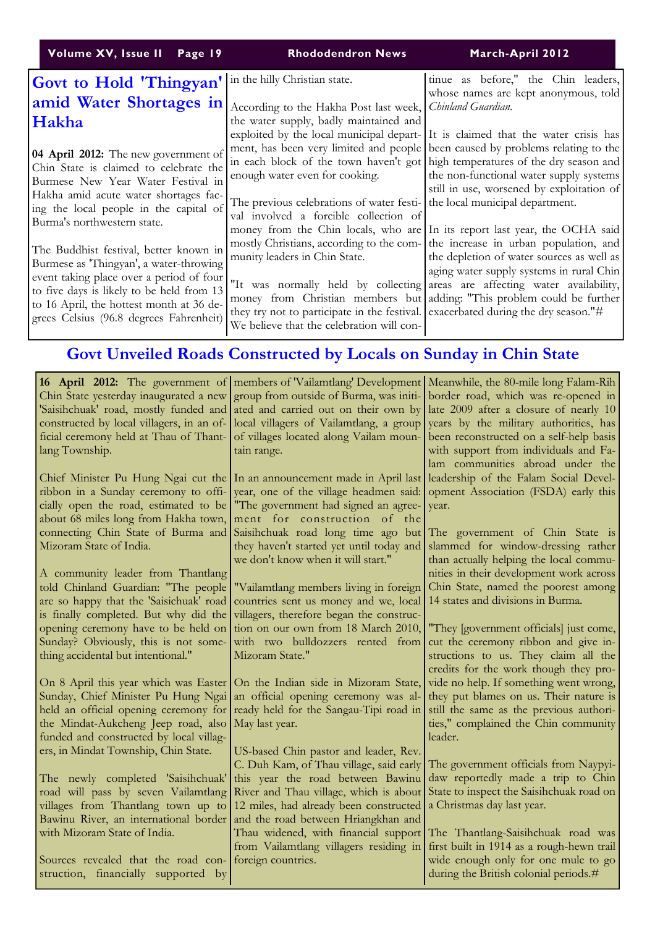| Volume XV, Issue II Page 19                                                                                                                                                                                                                                                                         | <b>Rhododendron News</b>                                                                                                                                                                                                              | March-April 2012                                                                                                                                                                                                                                     |
|-----------------------------------------------------------------------------------------------------------------------------------------------------------------------------------------------------------------------------------------------------------------------------------------------------|---------------------------------------------------------------------------------------------------------------------------------------------------------------------------------------------------------------------------------------|------------------------------------------------------------------------------------------------------------------------------------------------------------------------------------------------------------------------------------------------------|
| <b>Govt to Hold 'Thingyan'</b><br>amid Water Shortages in<br>Hakha                                                                                                                                                                                                                                  | in the hilly Christian state.<br>According to the Hakha Post last week, Chinland Guardian.<br>the water supply, badly maintained and                                                                                                  | tinue as before," the Chin leaders,<br>whose names are kept anonymous, told<br>exploited by the local municipal depart- It is claimed that the water crisis has                                                                                      |
| 04 April 2012: The new government of<br>Chin State is claimed to celebrate the<br>Burmese New Year Water Festival in<br>Hakha amid acute water shortages fac-<br>ing the local people in the capital of<br>Burma's northwestern state.                                                              | in each block of the town haven't got high temperatures of the dry season and<br>enough water even for cooking.<br>The previous celebrations of water festi- the local municipal department.<br>val involved a forcible collection of | ment, has been very limited and people been caused by problems relating to the<br>the non-functional water supply systems<br>still in use, worsened by exploitation of<br>money from the Chin locals, who are In its report last year, the OCHA said |
| The Buddhist festival, better known in<br>Burmese as 'Thingyan', a water-throwing<br>event taking place over a period of four<br>"It was normally held by collecting areas are affecting water availability,<br>to 16 April, the hottest month at 36 de-<br>grees Celsius (96.8 degrees Fahrenheit) | munity leaders in Chin State.<br>they try not to participate in the festival. exacerbated during the dry season."#<br>We believe that the celebration will con-                                                                       | mostly Christians, according to the com- the increase in urban population, and<br>the depletion of water sources as well as<br>aging water supply systems in rural Chin<br>money from Christian members but adding: "This problem could be further   |

# Govt Unveiled Roads Constructed by Locals on Sunday in Chin State

| <b>16 April 2012:</b> The government of members of Vailamtlang Development Meanwhile, the 80-mile long Falam-Rih<br>Chin State yesterday inaugurated a new group from outside of Burma, was initi- |                                                                                   | border road, which was re-opened in                                             |
|----------------------------------------------------------------------------------------------------------------------------------------------------------------------------------------------------|-----------------------------------------------------------------------------------|---------------------------------------------------------------------------------|
| 'Saisihchuak' road, mostly funded and                                                                                                                                                              | ated and carried out on their own by                                              | late 2009 after a closure of nearly 10                                          |
| constructed by local villagers, in an of-                                                                                                                                                          | local villagers of Vailamtlang, a group                                           | years by the military authorities, has                                          |
| ficial ceremony held at Thau of Thant-                                                                                                                                                             | of villages located along Vailam moun-                                            | been reconstructed on a self-help basis                                         |
| lang Township.                                                                                                                                                                                     | tain range.                                                                       | with support from individuals and Fa-                                           |
|                                                                                                                                                                                                    |                                                                                   | lam communities abroad under the                                                |
|                                                                                                                                                                                                    | Chief Minister Pu Hung Ngai cut the In an announcement made in April last         | leadership of the Falam Social Devel-                                           |
| ribbon in a Sunday ceremony to offi-                                                                                                                                                               | year, one of the village headmen said:                                            | opment Association (FSDA) early this                                            |
| cially open the road, estimated to be                                                                                                                                                              | "The government had signed an agree-                                              | year.                                                                           |
| about 68 miles long from Hakha town,                                                                                                                                                               | ment for construction of the                                                      |                                                                                 |
| connecting Chin State of Burma and                                                                                                                                                                 | Saisihchuak road long time ago but                                                | The government of Chin State is                                                 |
| Mizoram State of India.                                                                                                                                                                            | they haven't started yet until today and                                          | slammed for window-dressing rather                                              |
|                                                                                                                                                                                                    | we don't know when it will start."                                                | than actually helping the local commu-                                          |
| A community leader from Thantlang                                                                                                                                                                  |                                                                                   | nities in their development work across                                         |
| told Chinland Guardian: "The people                                                                                                                                                                | "Vailamtlang members living in foreign                                            | Chin State, named the poorest among<br>14 states and divisions in Burma.        |
| are so happy that the 'Saisichuak' road<br>is finally completed. But why did the                                                                                                                   | countries sent us money and we, local<br>villagers, therefore began the construc- |                                                                                 |
| opening ceremony have to be held on                                                                                                                                                                | tion on our own from 18 March 2010,                                               | "They [government officials] just come,                                         |
| Sunday? Obviously, this is not some-                                                                                                                                                               | with two bulldozzers rented from                                                  | cut the ceremony ribbon and give in-                                            |
| thing accidental but intentional."                                                                                                                                                                 | Mizoram State."                                                                   | structions to us. They claim all the                                            |
|                                                                                                                                                                                                    |                                                                                   | credits for the work though they pro-                                           |
| On 8 April this year which was Easter                                                                                                                                                              | On the Indian side in Mizoram State,                                              | vide no help. If something went wrong,                                          |
| Sunday, Chief Minister Pu Hung Ngai                                                                                                                                                                | an official opening ceremony was al-                                              | they put blames on us. Their nature is                                          |
| held an official opening ceremony for ready held for the Sangau-Tipi road in                                                                                                                       |                                                                                   | still the same as the previous authori-                                         |
| the Mindat-Aukcheng Jeep road, also                                                                                                                                                                | May last year.                                                                    | ties," complained the Chin community                                            |
| funded and constructed by local villag-                                                                                                                                                            |                                                                                   | leader.                                                                         |
| ers, in Mindat Township, Chin State.                                                                                                                                                               | US-based Chin pastor and leader, Rev.                                             |                                                                                 |
|                                                                                                                                                                                                    | C. Duh Kam, of Thau village, said early                                           | The government officials from Naypyi-                                           |
| The newly completed 'Saisihchuak'                                                                                                                                                                  | this year the road between Bawinu                                                 | daw reportedly made a trip to Chin                                              |
| road will pass by seven Vailamtlang                                                                                                                                                                | River and Thau village, which is about                                            | State to inspect the Saisihchuak road on                                        |
| villages from Thantlang town up to                                                                                                                                                                 | 12 miles, had already been constructed                                            | a Christmas day last year.                                                      |
| Bawinu River, an international border<br>with Mizoram State of India.                                                                                                                              | and the road between Hriangkhan and<br>Thau widened, with financial support       |                                                                                 |
|                                                                                                                                                                                                    | from Vailamtlang villagers residing in                                            | The Thantlang-Saisihchuak road was<br>first built in 1914 as a rough-hewn trail |
| Sources revealed that the road con-                                                                                                                                                                | foreign countries.                                                                | wide enough only for one mule to go                                             |
| struction, financially supported by                                                                                                                                                                |                                                                                   | during the British colonial periods.#                                           |
|                                                                                                                                                                                                    |                                                                                   |                                                                                 |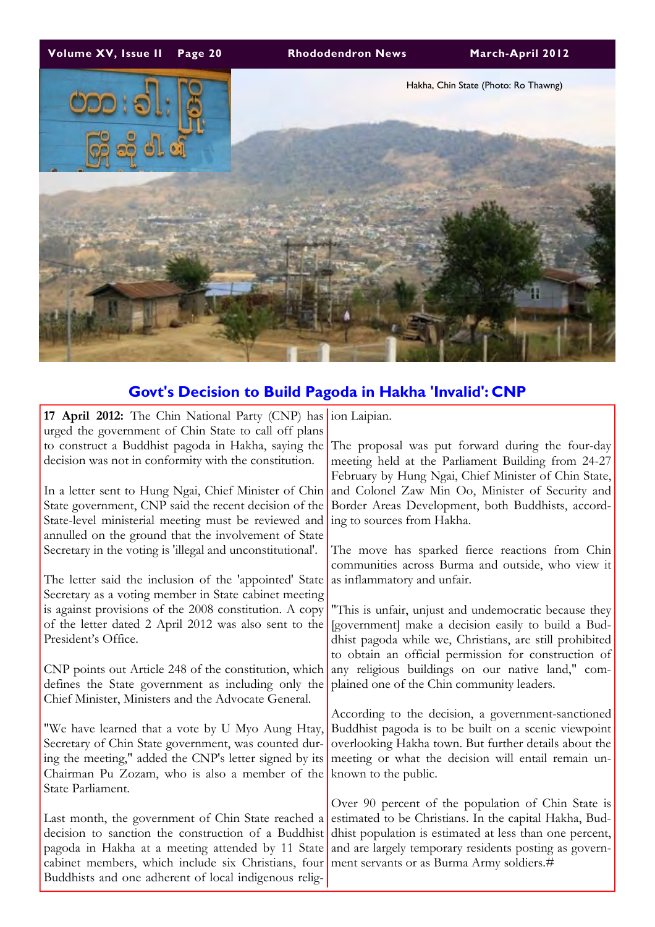

# Govt's Decision to Build Pagoda in Hakha 'Invalid': CNP

| 17 April 2012: The Chin National Party (CNP) has ion Laipian. |                                                                                                          |
|---------------------------------------------------------------|----------------------------------------------------------------------------------------------------------|
| urged the government of Chin State to call off plans          |                                                                                                          |
| to construct a Buddhist pagoda in Hakha, saying the           | The proposal was put forward during the four-day                                                         |
| decision was not in conformity with the constitution.         | meeting held at the Parliament Building from 24-27                                                       |
|                                                               | February by Hung Ngai, Chief Minister of Chin State,                                                     |
|                                                               | In a letter sent to Hung Ngai, Chief Minister of Chin and Colonel Zaw Min Oo, Minister of Security and   |
| State government, CNP said the recent decision of the         | Border Areas Development, both Buddhists, accord-                                                        |
| State-level ministerial meeting must be reviewed and          | ing to sources from Hakha.                                                                               |
| annulled on the ground that the involvement of State          |                                                                                                          |
| Secretary in the voting is 'illegal and unconstitutional'.    | The move has sparked fierce reactions from Chin                                                          |
|                                                               | communities across Burma and outside, who view it                                                        |
| The letter said the inclusion of the 'appointed' State        | as inflammatory and unfair.                                                                              |
| Secretary as a voting member in State cabinet meeting         |                                                                                                          |
| is against provisions of the 2008 constitution. A copy        | "This is unfair, unjust and undemocratic because they                                                    |
| of the letter dated 2 April 2012 was also sent to the         | [government] make a decision easily to build a Bud-                                                      |
| President's Office.                                           | dhist pagoda while we, Christians, are still prohibited                                                  |
|                                                               | to obtain an official permission for construction of                                                     |
| CNP points out Article 248 of the constitution, which         | any religious buildings on our native land," com-                                                        |
| defines the State government as including only the            | plained one of the Chin community leaders.                                                               |
| Chief Minister, Ministers and the Advocate General.           |                                                                                                          |
|                                                               | According to the decision, a government-sanctioned                                                       |
| "We have learned that a vote by U Myo Aung Htay,              | Buddhist pagoda is to be built on a scenic viewpoint                                                     |
| Secretary of Chin State government, was counted dur-          | overlooking Hakha town. But further details about the                                                    |
| ing the meeting," added the CNP's letter signed by its        | meeting or what the decision will entail remain un-                                                      |
| Chairman Pu Zozam, who is also a member of the                | known to the public.                                                                                     |
| State Parliament.                                             |                                                                                                          |
|                                                               | Over 90 percent of the population of Chin State is                                                       |
| Last month, the government of Chin State reached a            | estimated to be Christians. In the capital Hakha, Bud-                                                   |
| decision to sanction the construction of a Buddhist           | dhist population is estimated at less than one percent,                                                  |
|                                                               | pagoda in Hakha at a meeting attended by 11 State and are largely temporary residents posting as govern- |
| cabinet members, which include six Christians, four           | ment servants or as Burma Army soldiers.#                                                                |
| Buddhists and one adherent of local indigenous relig-         |                                                                                                          |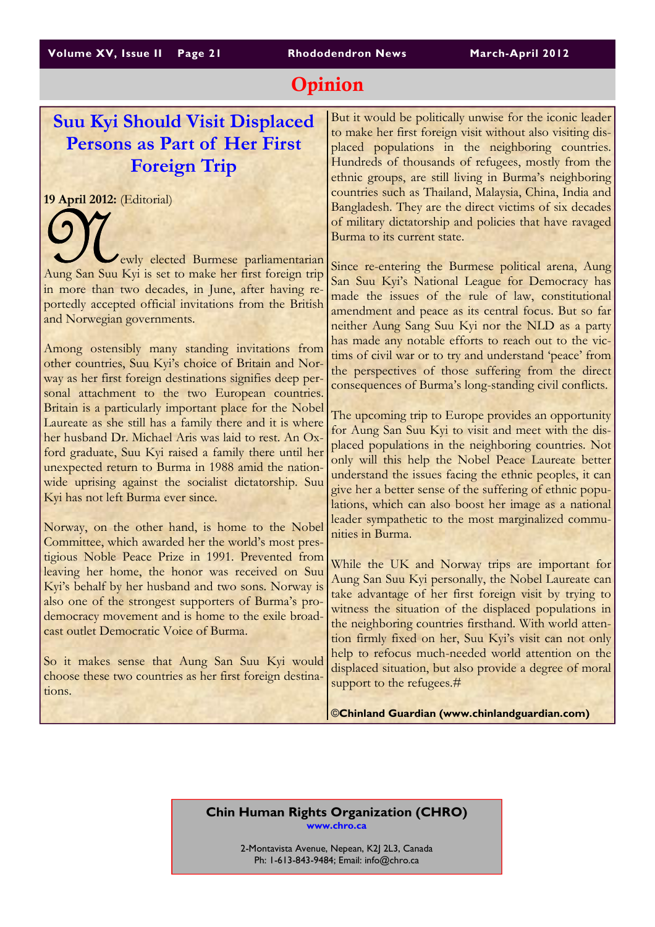# Opinion

# Suu Kyi Should Visit Displaced Persons as Part of Her First Foreign Trip

19 April 2012: (Editorial)

N ewly elected Burmese parliamentarian Aung San Suu Kyi is set to make her first foreign trip in more than two decades, in June, after having reportedly accepted official invitations from the British and Norwegian governments.

Among ostensibly many standing invitations from other countries, Suu Kyi's choice of Britain and Norway as her first foreign destinations signifies deep personal attachment to the two European countries. Britain is a particularly important place for the Nobel Laureate as she still has a family there and it is where her husband Dr. Michael Aris was laid to rest. An Oxford graduate, Suu Kyi raised a family there until her unexpected return to Burma in 1988 amid the nationwide uprising against the socialist dictatorship. Suu Kyi has not left Burma ever since.

Norway, on the other hand, is home to the Nobel Committee, which awarded her the world's most prestigious Noble Peace Prize in 1991. Prevented from leaving her home, the honor was received on Suu Kyi's behalf by her husband and two sons. Norway is also one of the strongest supporters of Burma's prodemocracy movement and is home to the exile broadcast outlet Democratic Voice of Burma.

So it makes sense that Aung San Suu Kyi would choose these two countries as her first foreign destinations.

But it would be politically unwise for the iconic leader to make her first foreign visit without also visiting displaced populations in the neighboring countries. Hundreds of thousands of refugees, mostly from the ethnic groups, are still living in Burma's neighboring countries such as Thailand, Malaysia, China, India and Bangladesh. They are the direct victims of six decades of military dictatorship and policies that have ravaged Burma to its current state.

Since re-entering the Burmese political arena, Aung San Suu Kyi's National League for Democracy has made the issues of the rule of law, constitutional amendment and peace as its central focus. But so far neither Aung Sang Suu Kyi nor the NLD as a party has made any notable efforts to reach out to the victims of civil war or to try and understand 'peace' from the perspectives of those suffering from the direct consequences of Burma's long-standing civil conflicts.

The upcoming trip to Europe provides an opportunity for Aung San Suu Kyi to visit and meet with the displaced populations in the neighboring countries. Not only will this help the Nobel Peace Laureate better understand the issues facing the ethnic peoples, it can give her a better sense of the suffering of ethnic populations, which can also boost her image as a national leader sympathetic to the most marginalized communities in Burma.

While the UK and Norway trips are important for Aung San Suu Kyi personally, the Nobel Laureate can take advantage of her first foreign visit by trying to witness the situation of the displaced populations in the neighboring countries firsthand. With world attention firmly fixed on her, Suu Kyi's visit can not only help to refocus much-needed world attention on the displaced situation, but also provide a degree of moral support to the refugees.#

**©**Chinland Guardian (www.chinlandguardian.com)

#### Chin Human Rights Organization (CHRO) www.chro.ca

2-Montavista Avenue, Nepean, K2J 2L3, Canada Ph: 1-613-843-9484; Email: info@chro.ca